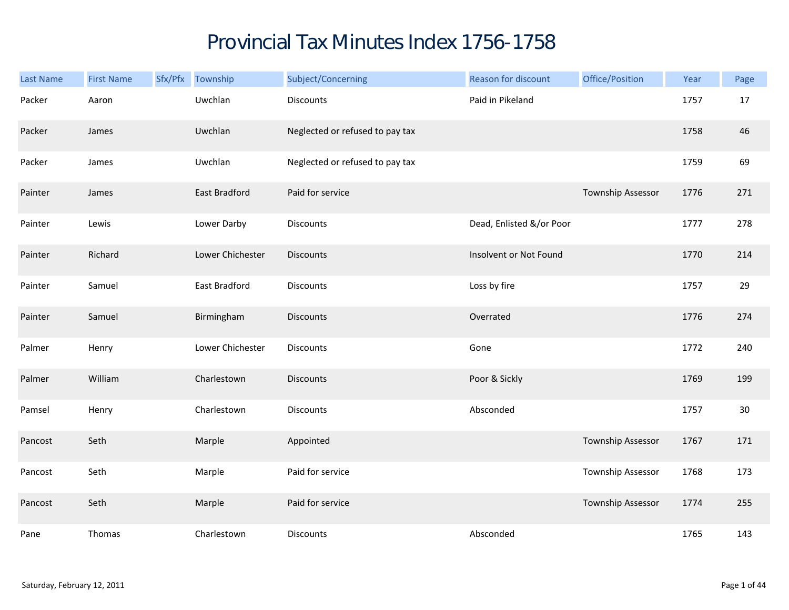## Provincial Tax Minutes Index 1756-1758

| Last Name | <b>First Name</b> | Sfx/Pfx Township | Subject/Concerning              | Reason for discount      | Office/Position   | Year | Page |
|-----------|-------------------|------------------|---------------------------------|--------------------------|-------------------|------|------|
| Packer    | Aaron             | Uwchlan          | <b>Discounts</b>                | Paid in Pikeland         |                   | 1757 | 17   |
| Packer    | James             | Uwchlan          | Neglected or refused to pay tax |                          |                   | 1758 | 46   |
| Packer    | James             | Uwchlan          | Neglected or refused to pay tax |                          |                   | 1759 | 69   |
| Painter   | James             | East Bradford    | Paid for service                |                          | Township Assessor | 1776 | 271  |
| Painter   | Lewis             | Lower Darby      | <b>Discounts</b>                | Dead, Enlisted &/or Poor |                   | 1777 | 278  |
| Painter   | Richard           | Lower Chichester | <b>Discounts</b>                | Insolvent or Not Found   |                   | 1770 | 214  |
| Painter   | Samuel            | East Bradford    | <b>Discounts</b>                | Loss by fire             |                   | 1757 | 29   |
| Painter   | Samuel            | Birmingham       | <b>Discounts</b>                | Overrated                |                   | 1776 | 274  |
| Palmer    | Henry             | Lower Chichester | <b>Discounts</b>                | Gone                     |                   | 1772 | 240  |
| Palmer    | William           | Charlestown      | <b>Discounts</b>                | Poor & Sickly            |                   | 1769 | 199  |
| Pamsel    | Henry             | Charlestown      | <b>Discounts</b>                | Absconded                |                   | 1757 | 30   |
| Pancost   | Seth              | Marple           | Appointed                       |                          | Township Assessor | 1767 | 171  |
| Pancost   | Seth              | Marple           | Paid for service                |                          | Township Assessor | 1768 | 173  |
| Pancost   | Seth              | Marple           | Paid for service                |                          | Township Assessor | 1774 | 255  |
| Pane      | Thomas            | Charlestown      | Discounts                       | Absconded                |                   | 1765 | 143  |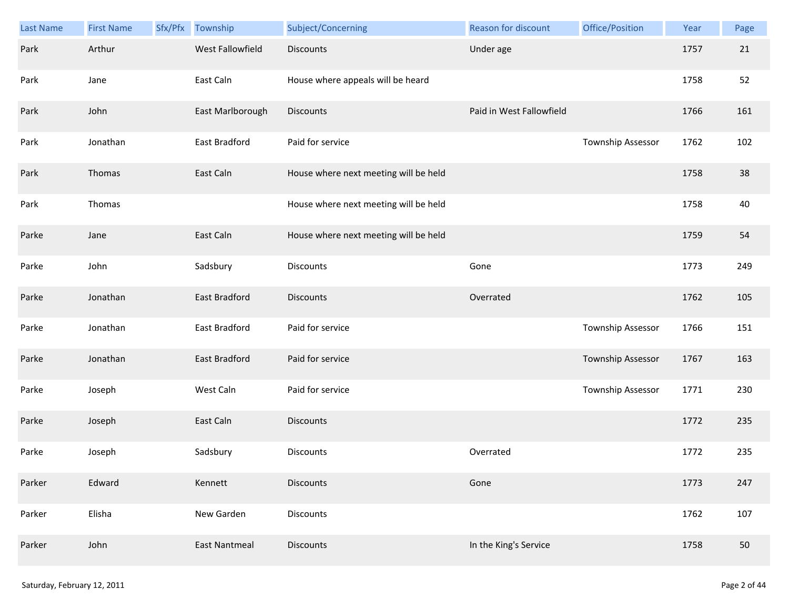| <b>Last Name</b> | <b>First Name</b> | Sfx/Pfx | Township             | Subject/Concerning                    | Reason for discount      | Office/Position   | Year | Page |
|------------------|-------------------|---------|----------------------|---------------------------------------|--------------------------|-------------------|------|------|
| Park             | Arthur            |         | West Fallowfield     | <b>Discounts</b>                      | Under age                |                   | 1757 | 21   |
| Park             | Jane              |         | East Caln            | House where appeals will be heard     |                          |                   | 1758 | 52   |
| Park             | John              |         | East Marlborough     | <b>Discounts</b>                      | Paid in West Fallowfield |                   | 1766 | 161  |
| Park             | Jonathan          |         | East Bradford        | Paid for service                      |                          | Township Assessor | 1762 | 102  |
| Park             | Thomas            |         | East Caln            | House where next meeting will be held |                          |                   | 1758 | 38   |
| Park             | Thomas            |         |                      | House where next meeting will be held |                          |                   | 1758 | 40   |
| Parke            | Jane              |         | East Caln            | House where next meeting will be held |                          |                   | 1759 | 54   |
| Parke            | John              |         | Sadsbury             | Discounts                             | Gone                     |                   | 1773 | 249  |
| Parke            | Jonathan          |         | East Bradford        | <b>Discounts</b>                      | Overrated                |                   | 1762 | 105  |
| Parke            | Jonathan          |         | East Bradford        | Paid for service                      |                          | Township Assessor | 1766 | 151  |
| Parke            | Jonathan          |         | East Bradford        | Paid for service                      |                          | Township Assessor | 1767 | 163  |
| Parke            | Joseph            |         | West Caln            | Paid for service                      |                          | Township Assessor | 1771 | 230  |
| Parke            | Joseph            |         | East Caln            | <b>Discounts</b>                      |                          |                   | 1772 | 235  |
| Parke            | Joseph            |         | Sadsbury             | Discounts                             | Overrated                |                   | 1772 | 235  |
| Parker           | Edward            |         | Kennett              | <b>Discounts</b>                      | Gone                     |                   | 1773 | 247  |
| Parker           | Elisha            |         | New Garden           | Discounts                             |                          |                   | 1762 | 107  |
| Parker           | John              |         | <b>East Nantmeal</b> | <b>Discounts</b>                      | In the King's Service    |                   | 1758 | 50   |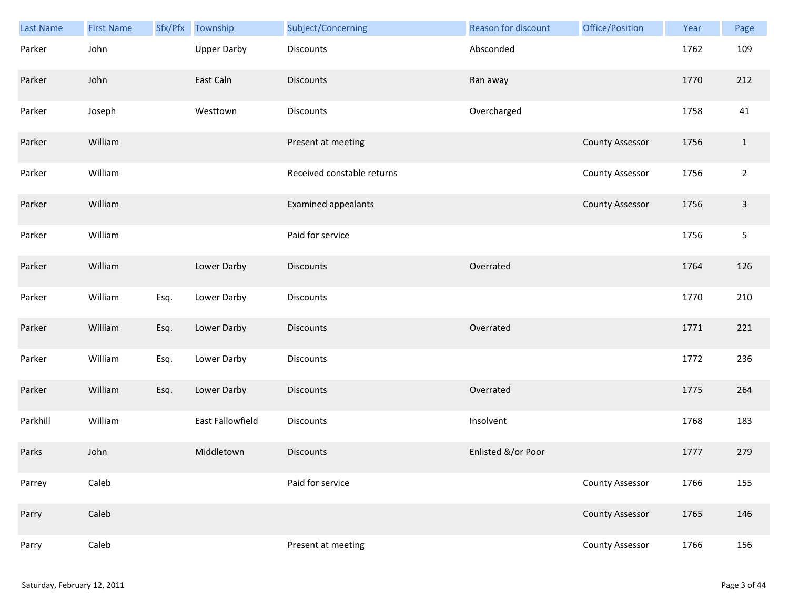| Last Name | <b>First Name</b> |      | Sfx/Pfx Township   | Subject/Concerning         | Reason for discount | Office/Position        | Year | Page         |
|-----------|-------------------|------|--------------------|----------------------------|---------------------|------------------------|------|--------------|
| Parker    | John              |      | <b>Upper Darby</b> | <b>Discounts</b>           | Absconded           |                        | 1762 | 109          |
| Parker    | John              |      | East Caln          | <b>Discounts</b>           | Ran away            |                        | 1770 | 212          |
| Parker    | Joseph            |      | Westtown           | Discounts                  | Overcharged         |                        | 1758 | 41           |
| Parker    | William           |      |                    | Present at meeting         |                     | <b>County Assessor</b> | 1756 | $\mathbf{1}$ |
| Parker    | William           |      |                    | Received constable returns |                     | <b>County Assessor</b> | 1756 | $\mathbf 2$  |
| Parker    | William           |      |                    | <b>Examined appealants</b> |                     | <b>County Assessor</b> | 1756 | $\mathsf{3}$ |
| Parker    | William           |      |                    | Paid for service           |                     |                        | 1756 | $\sqrt{5}$   |
| Parker    | William           |      | Lower Darby        | <b>Discounts</b>           | Overrated           |                        | 1764 | 126          |
| Parker    | William           | Esq. | Lower Darby        | <b>Discounts</b>           |                     |                        | 1770 | 210          |
| Parker    | William           | Esq. | Lower Darby        | <b>Discounts</b>           | Overrated           |                        | 1771 | 221          |
| Parker    | William           | Esq. | Lower Darby        | Discounts                  |                     |                        | 1772 | 236          |
| Parker    | William           | Esq. | Lower Darby        | Discounts                  | Overrated           |                        | 1775 | 264          |
| Parkhill  | William           |      | East Fallowfield   | Discounts                  | Insolvent           |                        | 1768 | 183          |
| Parks     | John              |      | Middletown         | <b>Discounts</b>           | Enlisted &/or Poor  |                        | 1777 | 279          |
| Parrey    | Caleb             |      |                    | Paid for service           |                     | County Assessor        | 1766 | 155          |
| Parry     | Caleb             |      |                    |                            |                     | <b>County Assessor</b> | 1765 | 146          |
| Parry     | Caleb             |      |                    | Present at meeting         |                     | <b>County Assessor</b> | 1766 | 156          |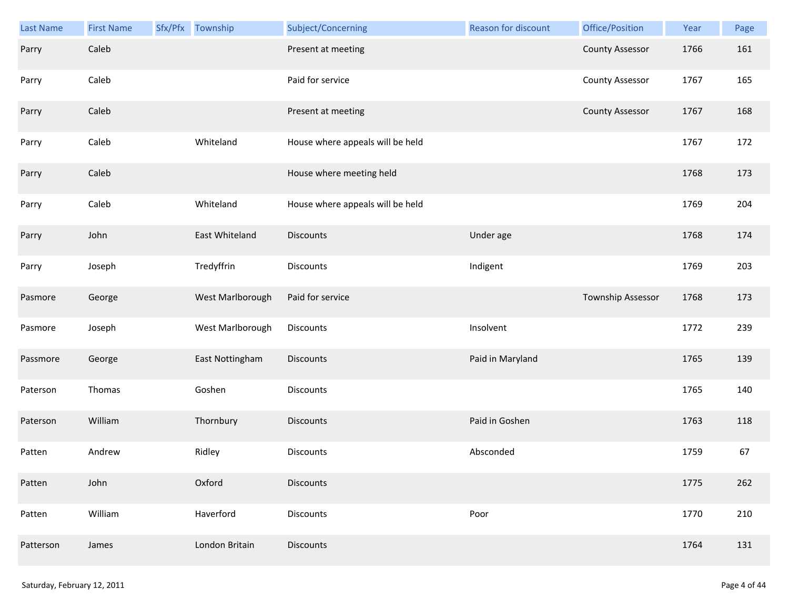| Last Name | <b>First Name</b> | Sfx/Pfx Township | Subject/Concerning               | Reason for discount | Office/Position        | Year | Page |
|-----------|-------------------|------------------|----------------------------------|---------------------|------------------------|------|------|
| Parry     | Caleb             |                  | Present at meeting               |                     | <b>County Assessor</b> | 1766 | 161  |
| Parry     | Caleb             |                  | Paid for service                 |                     | <b>County Assessor</b> | 1767 | 165  |
| Parry     | Caleb             |                  | Present at meeting               |                     | <b>County Assessor</b> | 1767 | 168  |
| Parry     | Caleb             | Whiteland        | House where appeals will be held |                     |                        | 1767 | 172  |
| Parry     | Caleb             |                  | House where meeting held         |                     |                        | 1768 | 173  |
| Parry     | Caleb             | Whiteland        | House where appeals will be held |                     |                        | 1769 | 204  |
| Parry     | John              | East Whiteland   | Discounts                        | Under age           |                        | 1768 | 174  |
| Parry     | Joseph            | Tredyffrin       | Discounts                        | Indigent            |                        | 1769 | 203  |
| Pasmore   | George            | West Marlborough | Paid for service                 |                     | Township Assessor      | 1768 | 173  |
| Pasmore   | Joseph            | West Marlborough | Discounts                        | Insolvent           |                        | 1772 | 239  |
| Passmore  | George            | East Nottingham  | <b>Discounts</b>                 | Paid in Maryland    |                        | 1765 | 139  |
| Paterson  | Thomas            | Goshen           | Discounts                        |                     |                        | 1765 | 140  |
| Paterson  | William           | Thornbury        | Discounts                        | Paid in Goshen      |                        | 1763 | 118  |
| Patten    | Andrew            | Ridley           | Discounts                        | Absconded           |                        | 1759 | 67   |
| Patten    | John              | Oxford           | <b>Discounts</b>                 |                     |                        | 1775 | 262  |
| Patten    | William           | Haverford        | Discounts                        | Poor                |                        | 1770 | 210  |
| Patterson | James             | London Britain   | <b>Discounts</b>                 |                     |                        | 1764 | 131  |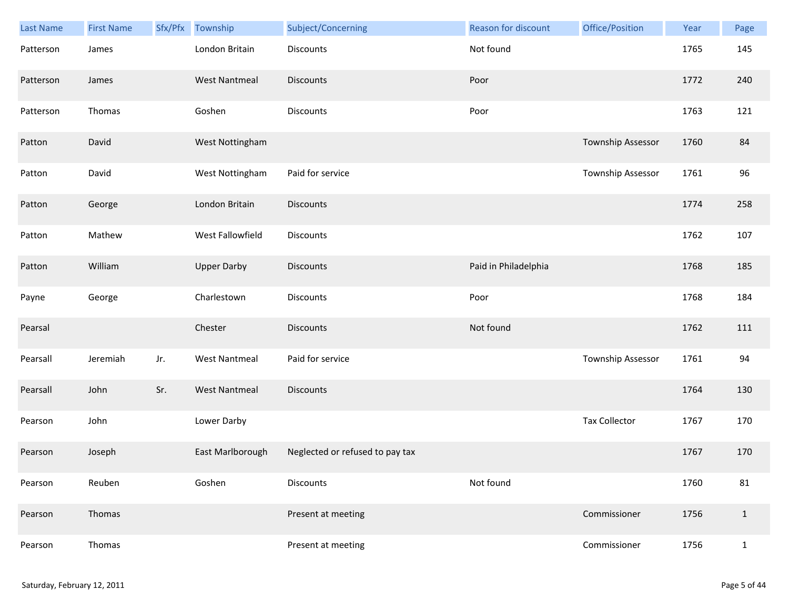| Last Name | <b>First Name</b> | Sfx/Pfx | Township             | Subject/Concerning              | Reason for discount  | Office/Position      | Year | Page         |
|-----------|-------------------|---------|----------------------|---------------------------------|----------------------|----------------------|------|--------------|
| Patterson | James             |         | London Britain       | Discounts                       | Not found            |                      | 1765 | 145          |
| Patterson | James             |         | <b>West Nantmeal</b> | <b>Discounts</b>                | Poor                 |                      | 1772 | 240          |
| Patterson | Thomas            |         | Goshen               | <b>Discounts</b>                | Poor                 |                      | 1763 | 121          |
| Patton    | David             |         | West Nottingham      |                                 |                      | Township Assessor    | 1760 | 84           |
| Patton    | David             |         | West Nottingham      | Paid for service                |                      | Township Assessor    | 1761 | 96           |
| Patton    | George            |         | London Britain       | <b>Discounts</b>                |                      |                      | 1774 | 258          |
| Patton    | Mathew            |         | West Fallowfield     | <b>Discounts</b>                |                      |                      | 1762 | 107          |
| Patton    | William           |         | <b>Upper Darby</b>   | Discounts                       | Paid in Philadelphia |                      | 1768 | 185          |
| Payne     | George            |         | Charlestown          | <b>Discounts</b>                | Poor                 |                      | 1768 | 184          |
| Pearsal   |                   |         | Chester              | <b>Discounts</b>                | Not found            |                      | 1762 | 111          |
| Pearsall  | Jeremiah          | Jr.     | <b>West Nantmeal</b> | Paid for service                |                      | Township Assessor    | 1761 | 94           |
| Pearsall  | John              | Sr.     | <b>West Nantmeal</b> | <b>Discounts</b>                |                      |                      | 1764 | 130          |
| Pearson   | John              |         | Lower Darby          |                                 |                      | <b>Tax Collector</b> | 1767 | 170          |
| Pearson   | Joseph            |         | East Marlborough     | Neglected or refused to pay tax |                      |                      | 1767 | 170          |
| Pearson   | Reuben            |         | Goshen               | <b>Discounts</b>                | Not found            |                      | 1760 | 81           |
| Pearson   | Thomas            |         |                      | Present at meeting              |                      | Commissioner         | 1756 | $\mathbf{1}$ |
| Pearson   | Thomas            |         |                      | Present at meeting              |                      | Commissioner         | 1756 | $\mathbf{1}$ |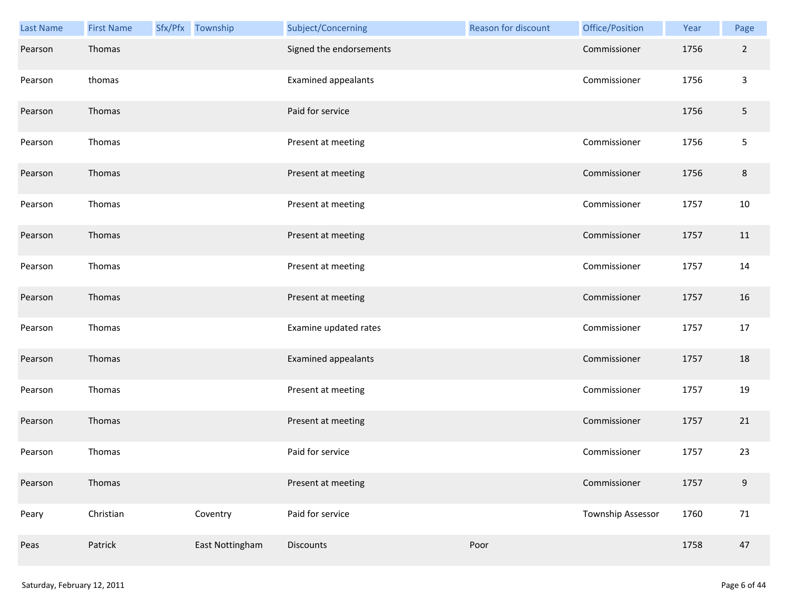| Last Name | <b>First Name</b> | Sfx/Pfx Township | Subject/Concerning         | Reason for discount | Office/Position   | Year | Page           |
|-----------|-------------------|------------------|----------------------------|---------------------|-------------------|------|----------------|
| Pearson   | Thomas            |                  | Signed the endorsements    |                     | Commissioner      | 1756 | $\overline{2}$ |
| Pearson   | thomas            |                  | <b>Examined appealants</b> |                     | Commissioner      | 1756 | $\mathsf{3}$   |
| Pearson   | Thomas            |                  | Paid for service           |                     |                   | 1756 | $\overline{5}$ |
| Pearson   | Thomas            |                  | Present at meeting         |                     | Commissioner      | 1756 | 5              |
| Pearson   | Thomas            |                  | Present at meeting         |                     | Commissioner      | 1756 | 8              |
| Pearson   | Thomas            |                  | Present at meeting         |                     | Commissioner      | 1757 | 10             |
| Pearson   | Thomas            |                  | Present at meeting         |                     | Commissioner      | 1757 | 11             |
| Pearson   | Thomas            |                  | Present at meeting         |                     | Commissioner      | 1757 | 14             |
| Pearson   | Thomas            |                  | Present at meeting         |                     | Commissioner      | 1757 | 16             |
| Pearson   | Thomas            |                  | Examine updated rates      |                     | Commissioner      | 1757 | 17             |
| Pearson   | Thomas            |                  | Examined appealants        |                     | Commissioner      | 1757 | 18             |
| Pearson   | Thomas            |                  | Present at meeting         |                     | Commissioner      | 1757 | 19             |
| Pearson   | Thomas            |                  | Present at meeting         |                     | Commissioner      | 1757 | 21             |
| Pearson   | Thomas            |                  | Paid for service           |                     | Commissioner      | 1757 | 23             |
| Pearson   | Thomas            |                  | Present at meeting         |                     | Commissioner      | 1757 | $9\,$          |
| Peary     | Christian         | Coventry         | Paid for service           |                     | Township Assessor | 1760 | 71             |
| Peas      | Patrick           | East Nottingham  | Discounts                  | Poor                |                   | 1758 | 47             |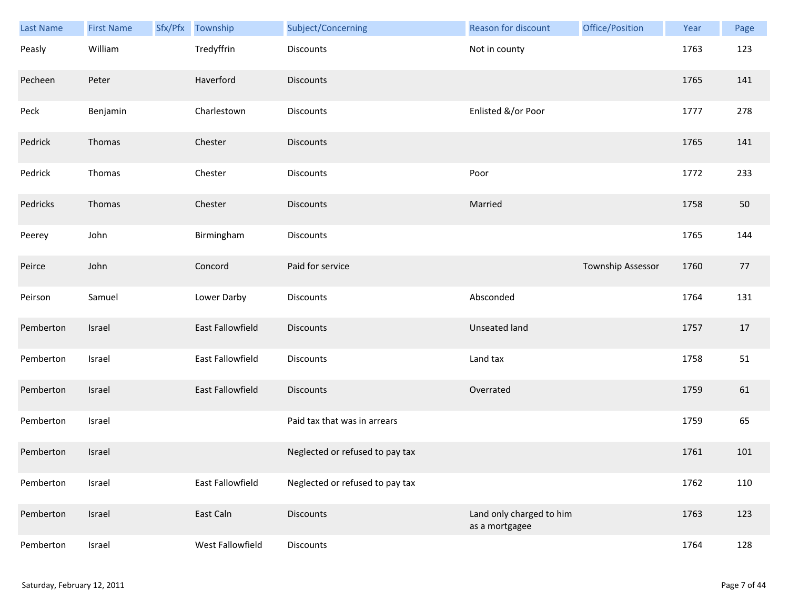| Last Name | <b>First Name</b> | Sfx/Pfx Township        | Subject/Concerning              | Reason for discount                        | Office/Position   | Year | Page |
|-----------|-------------------|-------------------------|---------------------------------|--------------------------------------------|-------------------|------|------|
| Peasly    | William           | Tredyffrin              | Discounts                       | Not in county                              |                   | 1763 | 123  |
| Pecheen   | Peter             | Haverford               | <b>Discounts</b>                |                                            |                   | 1765 | 141  |
| Peck      | Benjamin          | Charlestown             | Discounts                       | Enlisted &/or Poor                         |                   | 1777 | 278  |
| Pedrick   | Thomas            | Chester                 | <b>Discounts</b>                |                                            |                   | 1765 | 141  |
| Pedrick   | Thomas            | Chester                 | Discounts                       | Poor                                       |                   | 1772 | 233  |
| Pedricks  | Thomas            | Chester                 | <b>Discounts</b>                | Married                                    |                   | 1758 | 50   |
| Peerey    | John              | Birmingham              | Discounts                       |                                            |                   | 1765 | 144  |
| Peirce    | John              | Concord                 | Paid for service                |                                            | Township Assessor | 1760 | 77   |
| Peirson   | Samuel            | Lower Darby             | Discounts                       | Absconded                                  |                   | 1764 | 131  |
| Pemberton | Israel            | <b>East Fallowfield</b> | Discounts                       | <b>Unseated land</b>                       |                   | 1757 | 17   |
| Pemberton | Israel            | East Fallowfield        | Discounts                       | Land tax                                   |                   | 1758 | 51   |
| Pemberton | Israel            | East Fallowfield        | <b>Discounts</b>                | Overrated                                  |                   | 1759 | 61   |
| Pemberton | Israel            |                         | Paid tax that was in arrears    |                                            |                   | 1759 | 65   |
| Pemberton | Israel            |                         | Neglected or refused to pay tax |                                            |                   | 1761 | 101  |
| Pemberton | Israel            | East Fallowfield        | Neglected or refused to pay tax |                                            |                   | 1762 | 110  |
| Pemberton | Israel            | East Caln               | <b>Discounts</b>                | Land only charged to him<br>as a mortgagee |                   | 1763 | 123  |
| Pemberton | Israel            | West Fallowfield        | Discounts                       |                                            |                   | 1764 | 128  |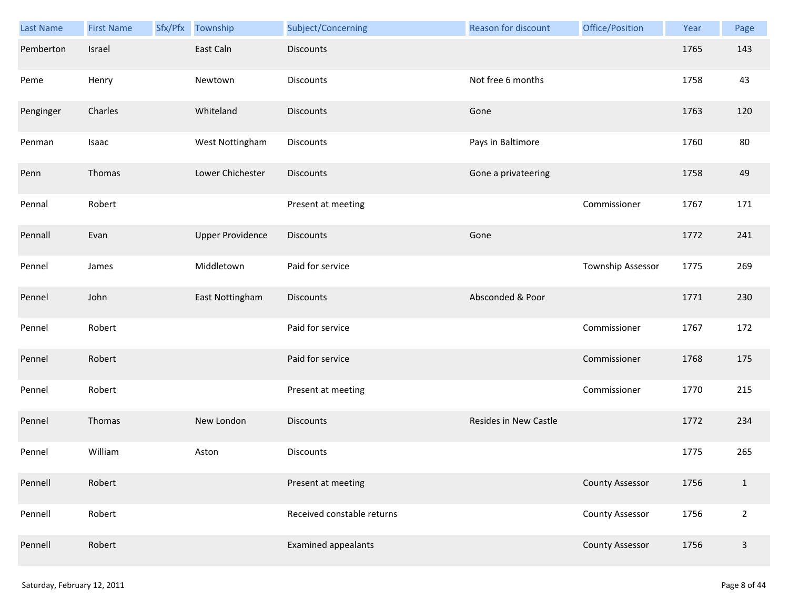| Last Name | <b>First Name</b> | Sfx/Pfx | Township                | Subject/Concerning         | Reason for discount   | Office/Position        | Year | Page           |
|-----------|-------------------|---------|-------------------------|----------------------------|-----------------------|------------------------|------|----------------|
| Pemberton | Israel            |         | East Caln               | <b>Discounts</b>           |                       |                        | 1765 | 143            |
| Peme      | Henry             |         | Newtown                 | Discounts                  | Not free 6 months     |                        | 1758 | 43             |
| Penginger | Charles           |         | Whiteland               | <b>Discounts</b>           | Gone                  |                        | 1763 | 120            |
| Penman    | Isaac             |         | West Nottingham         | <b>Discounts</b>           | Pays in Baltimore     |                        | 1760 | 80             |
| Penn      | Thomas            |         | Lower Chichester        | Discounts                  | Gone a privateering   |                        | 1758 | 49             |
| Pennal    | Robert            |         |                         | Present at meeting         |                       | Commissioner           | 1767 | 171            |
| Pennall   | Evan              |         | <b>Upper Providence</b> | <b>Discounts</b>           | Gone                  |                        | 1772 | 241            |
| Pennel    | James             |         | Middletown              | Paid for service           |                       | Township Assessor      | 1775 | 269            |
| Pennel    | John              |         | East Nottingham         | <b>Discounts</b>           | Absconded & Poor      |                        | 1771 | 230            |
| Pennel    | Robert            |         |                         | Paid for service           |                       | Commissioner           | 1767 | 172            |
| Pennel    | Robert            |         |                         | Paid for service           |                       | Commissioner           | 1768 | 175            |
| Pennel    | Robert            |         |                         | Present at meeting         |                       | Commissioner           | 1770 | 215            |
| Pennel    | Thomas            |         | New London              | <b>Discounts</b>           | Resides in New Castle |                        | 1772 | 234            |
| Pennel    | William           |         | Aston                   | Discounts                  |                       |                        | 1775 | 265            |
| Pennell   | Robert            |         |                         | Present at meeting         |                       | <b>County Assessor</b> | 1756 | $\mathbf{1}$   |
| Pennell   | Robert            |         |                         | Received constable returns |                       | <b>County Assessor</b> | 1756 | $\overline{2}$ |
| Pennell   | Robert            |         |                         | <b>Examined appealants</b> |                       | <b>County Assessor</b> | 1756 | $\overline{3}$ |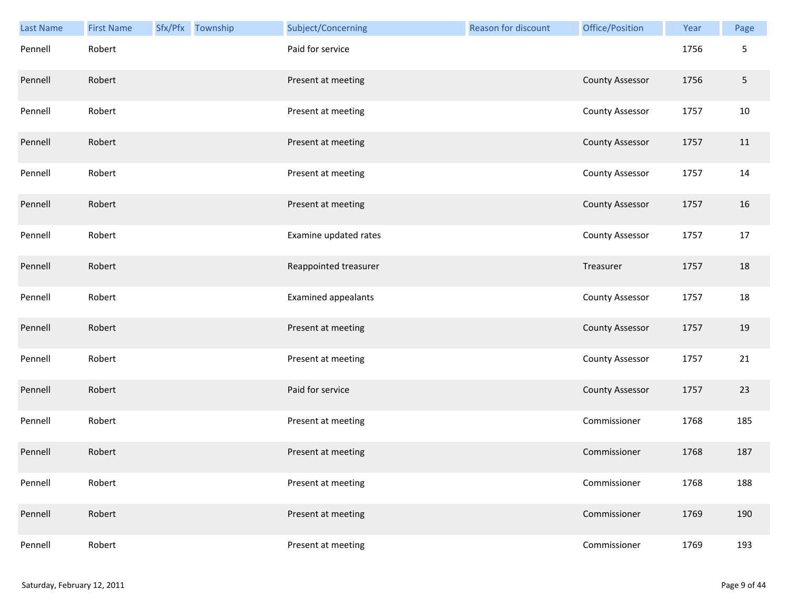| <b>Last Name</b> | <b>First Name</b> | Sfx/Pfx Township | Subject/Concerning         | <b>Reason for discount</b> | Office/Position        | Year | Page       |
|------------------|-------------------|------------------|----------------------------|----------------------------|------------------------|------|------------|
| Pennell          | Robert            |                  | Paid for service           |                            |                        | 1756 | 5          |
| Pennell          | Robert            |                  | Present at meeting         |                            | <b>County Assessor</b> | 1756 | $\sqrt{5}$ |
| Pennell          | Robert            |                  | Present at meeting         |                            | <b>County Assessor</b> | 1757 | 10         |
| Pennell          | Robert            |                  | Present at meeting         |                            | <b>County Assessor</b> | 1757 | 11         |
| Pennell          | Robert            |                  | Present at meeting         |                            | County Assessor        | 1757 | 14         |
| Pennell          | Robert            |                  | Present at meeting         |                            | <b>County Assessor</b> | 1757 | 16         |
| Pennell          | Robert            |                  | Examine updated rates      |                            | County Assessor        | 1757 | 17         |
| Pennell          | Robert            |                  | Reappointed treasurer      |                            | Treasurer              | 1757 | 18         |
| Pennell          | Robert            |                  | <b>Examined appealants</b> |                            | <b>County Assessor</b> | 1757 | 18         |
| Pennell          | Robert            |                  | Present at meeting         |                            | <b>County Assessor</b> | 1757 | 19         |
| Pennell          | Robert            |                  | Present at meeting         |                            | <b>County Assessor</b> | 1757 | 21         |
| Pennell          | Robert            |                  | Paid for service           |                            | <b>County Assessor</b> | 1757 | 23         |
| Pennell          | Robert            |                  | Present at meeting         |                            | Commissioner           | 1768 | 185        |
| Pennell          | Robert            |                  | Present at meeting         |                            | Commissioner           | 1768 | 187        |
| Pennell          | Robert            |                  | Present at meeting         |                            | Commissioner           | 1768 | 188        |
| Pennell          | Robert            |                  | Present at meeting         |                            | Commissioner           | 1769 | 190        |
| Pennell          | Robert            |                  | Present at meeting         |                            | Commissioner           | 1769 | 193        |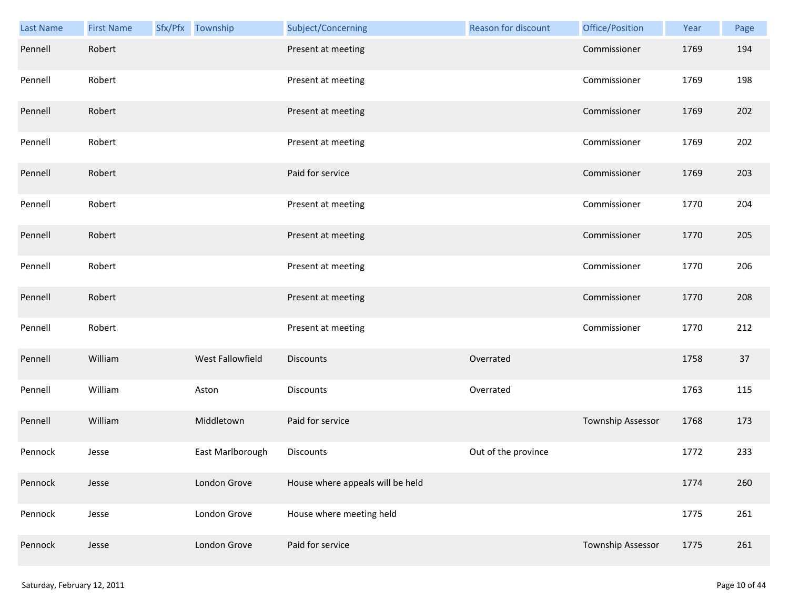| Last Name | <b>First Name</b> | Sfx/Pfx Township | Subject/Concerning               | Reason for discount | Office/Position   | Year | Page |
|-----------|-------------------|------------------|----------------------------------|---------------------|-------------------|------|------|
| Pennell   | Robert            |                  | Present at meeting               |                     | Commissioner      | 1769 | 194  |
| Pennell   | Robert            |                  | Present at meeting               |                     | Commissioner      | 1769 | 198  |
| Pennell   | Robert            |                  | Present at meeting               |                     | Commissioner      | 1769 | 202  |
| Pennell   | Robert            |                  | Present at meeting               |                     | Commissioner      | 1769 | 202  |
| Pennell   | Robert            |                  | Paid for service                 |                     | Commissioner      | 1769 | 203  |
| Pennell   | Robert            |                  | Present at meeting               |                     | Commissioner      | 1770 | 204  |
| Pennell   | Robert            |                  | Present at meeting               |                     | Commissioner      | 1770 | 205  |
| Pennell   | Robert            |                  | Present at meeting               |                     | Commissioner      | 1770 | 206  |
| Pennell   | Robert            |                  | Present at meeting               |                     | Commissioner      | 1770 | 208  |
| Pennell   | Robert            |                  | Present at meeting               |                     | Commissioner      | 1770 | 212  |
| Pennell   | William           | West Fallowfield | <b>Discounts</b>                 | Overrated           |                   | 1758 | 37   |
| Pennell   | William           | Aston            | <b>Discounts</b>                 | Overrated           |                   | 1763 | 115  |
| Pennell   | William           | Middletown       | Paid for service                 |                     | Township Assessor | 1768 | 173  |
| Pennock   | Jesse             | East Marlborough | Discounts                        | Out of the province |                   | 1772 | 233  |
| Pennock   | Jesse             | London Grove     | House where appeals will be held |                     |                   | 1774 | 260  |
| Pennock   | Jesse             | London Grove     | House where meeting held         |                     |                   | 1775 | 261  |
| Pennock   | Jesse             | London Grove     | Paid for service                 |                     | Township Assessor | 1775 | 261  |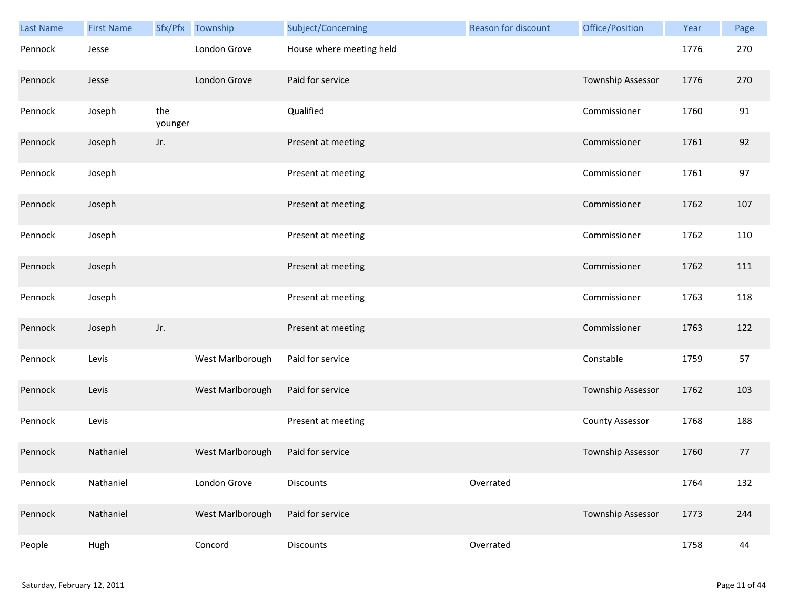| Last Name | <b>First Name</b> |                | Sfx/Pfx Township | Subject/Concerning       | <b>Reason for discount</b> | Office/Position        | Year | Page |
|-----------|-------------------|----------------|------------------|--------------------------|----------------------------|------------------------|------|------|
| Pennock   | Jesse             |                | London Grove     | House where meeting held |                            |                        | 1776 | 270  |
| Pennock   | Jesse             |                | London Grove     | Paid for service         |                            | Township Assessor      | 1776 | 270  |
| Pennock   | Joseph            | the<br>younger |                  | Qualified                |                            | Commissioner           | 1760 | 91   |
| Pennock   | Joseph            | Jr.            |                  | Present at meeting       |                            | Commissioner           | 1761 | 92   |
| Pennock   | Joseph            |                |                  | Present at meeting       |                            | Commissioner           | 1761 | 97   |
| Pennock   | Joseph            |                |                  | Present at meeting       |                            | Commissioner           | 1762 | 107  |
| Pennock   | Joseph            |                |                  | Present at meeting       |                            | Commissioner           | 1762 | 110  |
| Pennock   | Joseph            |                |                  | Present at meeting       |                            | Commissioner           | 1762 | 111  |
| Pennock   | Joseph            |                |                  | Present at meeting       |                            | Commissioner           | 1763 | 118  |
| Pennock   | Joseph            | Jr.            |                  | Present at meeting       |                            | Commissioner           | 1763 | 122  |
| Pennock   | Levis             |                | West Marlborough | Paid for service         |                            | Constable              | 1759 | 57   |
| Pennock   | Levis             |                | West Marlborough | Paid for service         |                            | Township Assessor      | 1762 | 103  |
| Pennock   | Levis             |                |                  | Present at meeting       |                            | <b>County Assessor</b> | 1768 | 188  |
| Pennock   | Nathaniel         |                | West Marlborough | Paid for service         |                            | Township Assessor      | 1760 | 77   |
| Pennock   | Nathaniel         |                | London Grove     | <b>Discounts</b>         | Overrated                  |                        | 1764 | 132  |
| Pennock   | Nathaniel         |                | West Marlborough | Paid for service         |                            | Township Assessor      | 1773 | 244  |
| People    | Hugh              |                | Concord          | Discounts                | Overrated                  |                        | 1758 | 44   |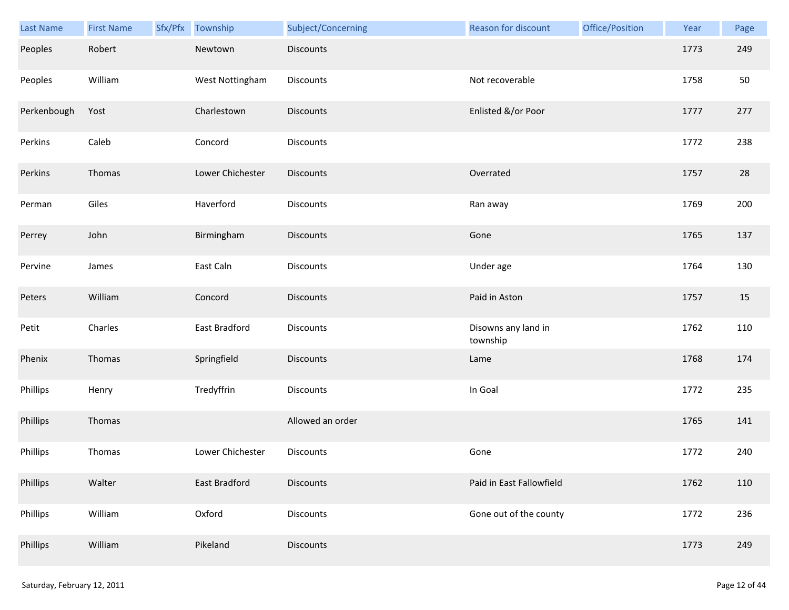| Last Name   | <b>First Name</b> | Sfx/Pfx Township | Subject/Concerning | <b>Reason for discount</b>      | Office/Position | Year | Page |
|-------------|-------------------|------------------|--------------------|---------------------------------|-----------------|------|------|
| Peoples     | Robert            | Newtown          | <b>Discounts</b>   |                                 |                 | 1773 | 249  |
| Peoples     | William           | West Nottingham  | Discounts          | Not recoverable                 |                 | 1758 | 50   |
| Perkenbough | Yost              | Charlestown      | <b>Discounts</b>   | Enlisted &/or Poor              |                 | 1777 | 277  |
| Perkins     | Caleb             | Concord          | <b>Discounts</b>   |                                 |                 | 1772 | 238  |
| Perkins     | Thomas            | Lower Chichester | <b>Discounts</b>   | Overrated                       |                 | 1757 | 28   |
| Perman      | Giles             | Haverford        | Discounts          | Ran away                        |                 | 1769 | 200  |
| Perrey      | John              | Birmingham       | Discounts          | Gone                            |                 | 1765 | 137  |
| Pervine     | James             | East Caln        | Discounts          | Under age                       |                 | 1764 | 130  |
| Peters      | William           | Concord          | <b>Discounts</b>   | Paid in Aston                   |                 | 1757 | 15   |
| Petit       | Charles           | East Bradford    | Discounts          | Disowns any land in<br>township |                 | 1762 | 110  |
| Phenix      | Thomas            | Springfield      | Discounts          | Lame                            |                 | 1768 | 174  |
| Phillips    | Henry             | Tredyffrin       | Discounts          | In Goal                         |                 | 1772 | 235  |
| Phillips    | Thomas            |                  | Allowed an order   |                                 |                 | 1765 | 141  |
| Phillips    | Thomas            | Lower Chichester | Discounts          | Gone                            |                 | 1772 | 240  |
| Phillips    | Walter            | East Bradford    | <b>Discounts</b>   | Paid in East Fallowfield        |                 | 1762 | 110  |
| Phillips    | William           | Oxford           | Discounts          | Gone out of the county          |                 | 1772 | 236  |
| Phillips    | William           | Pikeland         | Discounts          |                                 |                 | 1773 | 249  |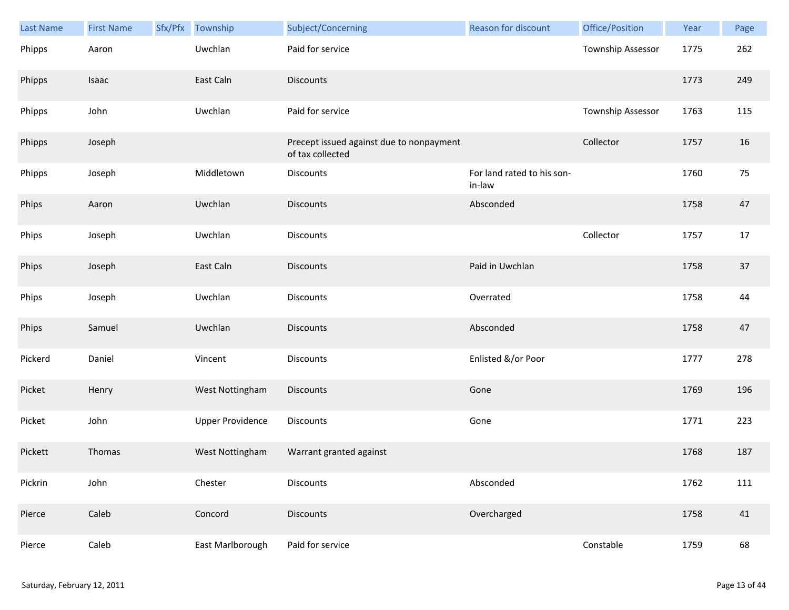| <b>Last Name</b> | <b>First Name</b> | Sfx/Pfx | Township                | Subject/Concerning                                           | <b>Reason for discount</b>           | Office/Position   | Year | Page |
|------------------|-------------------|---------|-------------------------|--------------------------------------------------------------|--------------------------------------|-------------------|------|------|
| Phipps           | Aaron             |         | Uwchlan                 | Paid for service                                             |                                      | Township Assessor | 1775 | 262  |
| Phipps           | Isaac             |         | East Caln               | <b>Discounts</b>                                             |                                      |                   | 1773 | 249  |
| Phipps           | John              |         | Uwchlan                 | Paid for service                                             |                                      | Township Assessor | 1763 | 115  |
| Phipps           | Joseph            |         |                         | Precept issued against due to nonpayment<br>of tax collected |                                      | Collector         | 1757 | 16   |
| Phipps           | Joseph            |         | Middletown              | Discounts                                                    | For land rated to his son-<br>in-law |                   | 1760 | 75   |
| Phips            | Aaron             |         | Uwchlan                 | <b>Discounts</b>                                             | Absconded                            |                   | 1758 | 47   |
| Phips            | Joseph            |         | Uwchlan                 | <b>Discounts</b>                                             |                                      | Collector         | 1757 | 17   |
| Phips            | Joseph            |         | East Caln               | <b>Discounts</b>                                             | Paid in Uwchlan                      |                   | 1758 | 37   |
| Phips            | Joseph            |         | Uwchlan                 | Discounts                                                    | Overrated                            |                   | 1758 | 44   |
| Phips            | Samuel            |         | Uwchlan                 | <b>Discounts</b>                                             | Absconded                            |                   | 1758 | 47   |
| Pickerd          | Daniel            |         | Vincent                 | Discounts                                                    | Enlisted &/or Poor                   |                   | 1777 | 278  |
| Picket           | Henry             |         | West Nottingham         | <b>Discounts</b>                                             | Gone                                 |                   | 1769 | 196  |
| Picket           | John              |         | <b>Upper Providence</b> | Discounts                                                    | Gone                                 |                   | 1771 | 223  |
| Pickett          | Thomas            |         | West Nottingham         | Warrant granted against                                      |                                      |                   | 1768 | 187  |
| Pickrin          | John              |         | Chester                 | Discounts                                                    | Absconded                            |                   | 1762 | 111  |
| Pierce           | Caleb             |         | Concord                 | <b>Discounts</b>                                             | Overcharged                          |                   | 1758 | 41   |
| Pierce           | Caleb             |         | East Marlborough        | Paid for service                                             |                                      | Constable         | 1759 | 68   |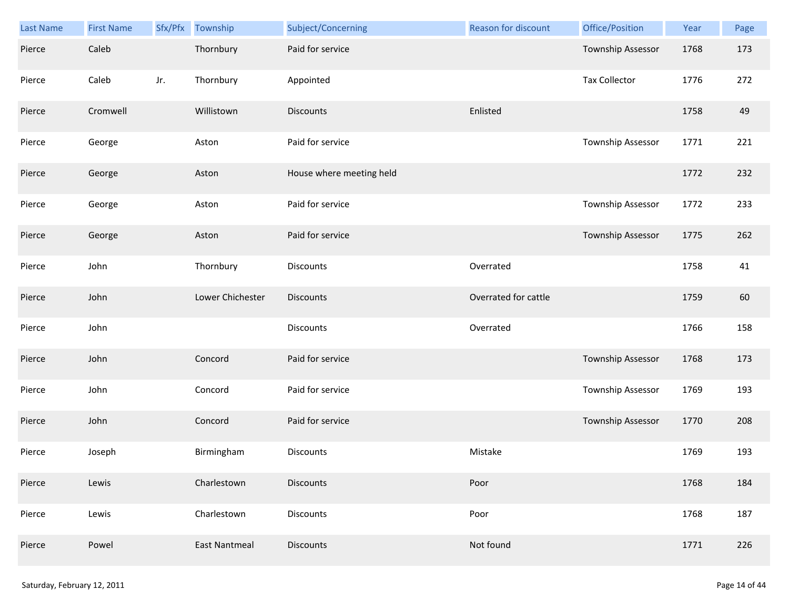| Last Name | <b>First Name</b> |     | Sfx/Pfx Township     | Subject/Concerning       | Reason for discount  | Office/Position      | Year | Page |
|-----------|-------------------|-----|----------------------|--------------------------|----------------------|----------------------|------|------|
| Pierce    | Caleb             |     | Thornbury            | Paid for service         |                      | Township Assessor    | 1768 | 173  |
| Pierce    | Caleb             | Jr. | Thornbury            | Appointed                |                      | <b>Tax Collector</b> | 1776 | 272  |
| Pierce    | Cromwell          |     | Willistown           | <b>Discounts</b>         | Enlisted             |                      | 1758 | 49   |
| Pierce    | George            |     | Aston                | Paid for service         |                      | Township Assessor    | 1771 | 221  |
| Pierce    | George            |     | Aston                | House where meeting held |                      |                      | 1772 | 232  |
| Pierce    | George            |     | Aston                | Paid for service         |                      | Township Assessor    | 1772 | 233  |
| Pierce    | George            |     | Aston                | Paid for service         |                      | Township Assessor    | 1775 | 262  |
| Pierce    | John              |     | Thornbury            | Discounts                | Overrated            |                      | 1758 | 41   |
| Pierce    | John              |     | Lower Chichester     | <b>Discounts</b>         | Overrated for cattle |                      | 1759 | 60   |
| Pierce    | John              |     |                      | Discounts                | Overrated            |                      | 1766 | 158  |
| Pierce    | John              |     | Concord              | Paid for service         |                      | Township Assessor    | 1768 | 173  |
| Pierce    | John              |     | Concord              | Paid for service         |                      | Township Assessor    | 1769 | 193  |
| Pierce    | John              |     | Concord              | Paid for service         |                      | Township Assessor    | 1770 | 208  |
| Pierce    | Joseph            |     | Birmingham           | Discounts                | Mistake              |                      | 1769 | 193  |
| Pierce    | Lewis             |     | Charlestown          | <b>Discounts</b>         | Poor                 |                      | 1768 | 184  |
| Pierce    | Lewis             |     | Charlestown          | Discounts                | Poor                 |                      | 1768 | 187  |
| Pierce    | Powel             |     | <b>East Nantmeal</b> | <b>Discounts</b>         | Not found            |                      | 1771 | 226  |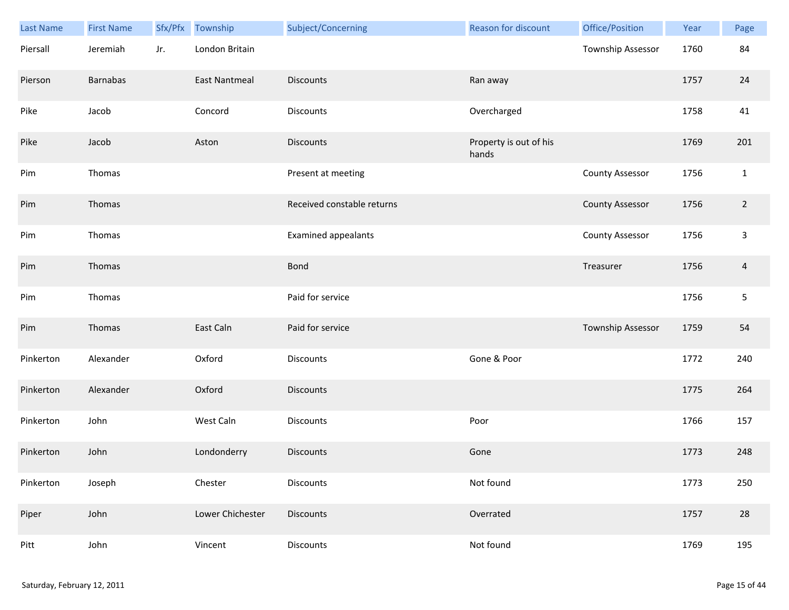| Last Name | <b>First Name</b> | Sfx/Pfx | Township             | Subject/Concerning         | Reason for discount             | Office/Position        | Year | Page           |
|-----------|-------------------|---------|----------------------|----------------------------|---------------------------------|------------------------|------|----------------|
| Piersall  | Jeremiah          | Jr.     | London Britain       |                            |                                 | Township Assessor      | 1760 | 84             |
| Pierson   | <b>Barnabas</b>   |         | <b>East Nantmeal</b> | <b>Discounts</b>           | Ran away                        |                        | 1757 | 24             |
| Pike      | Jacob             |         | Concord              | Discounts                  | Overcharged                     |                        | 1758 | 41             |
| Pike      | Jacob             |         | Aston                | <b>Discounts</b>           | Property is out of his<br>hands |                        | 1769 | 201            |
| Pim       | Thomas            |         |                      | Present at meeting         |                                 | <b>County Assessor</b> | 1756 | $1\,$          |
| Pim       | Thomas            |         |                      | Received constable returns |                                 | <b>County Assessor</b> | 1756 | $\overline{2}$ |
| Pim       | Thomas            |         |                      | <b>Examined appealants</b> |                                 | <b>County Assessor</b> | 1756 | $\mathsf{3}$   |
| Pim       | Thomas            |         |                      | <b>Bond</b>                |                                 | Treasurer              | 1756 | $\overline{4}$ |
| Pim       | Thomas            |         |                      | Paid for service           |                                 |                        | 1756 | $\sqrt{5}$     |
| Pim       | Thomas            |         | East Caln            | Paid for service           |                                 | Township Assessor      | 1759 | 54             |
| Pinkerton | Alexander         |         | Oxford               | Discounts                  | Gone & Poor                     |                        | 1772 | 240            |
| Pinkerton | Alexander         |         | Oxford               | <b>Discounts</b>           |                                 |                        | 1775 | 264            |
| Pinkerton | John              |         | West Caln            | Discounts                  | Poor                            |                        | 1766 | 157            |
| Pinkerton | John              |         | Londonderry          | Discounts                  | Gone                            |                        | 1773 | 248            |
| Pinkerton | Joseph            |         | Chester              | Discounts                  | Not found                       |                        | 1773 | 250            |
| Piper     | John              |         | Lower Chichester     | Discounts                  | Overrated                       |                        | 1757 | 28             |
| Pitt      | John              |         | Vincent              | Discounts                  | Not found                       |                        | 1769 | 195            |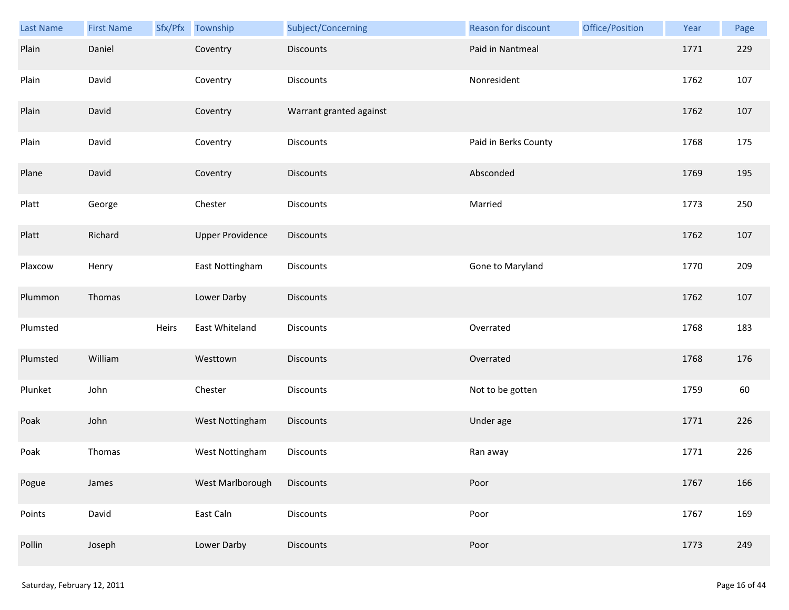| Last Name | <b>First Name</b> |       | Sfx/Pfx Township        | Subject/Concerning      | Reason for discount  | Office/Position | Year | Page |
|-----------|-------------------|-------|-------------------------|-------------------------|----------------------|-----------------|------|------|
| Plain     | Daniel            |       | Coventry                | <b>Discounts</b>        | Paid in Nantmeal     |                 | 1771 | 229  |
| Plain     | David             |       | Coventry                | Discounts               | Nonresident          |                 | 1762 | 107  |
| Plain     | David             |       | Coventry                | Warrant granted against |                      |                 | 1762 | 107  |
| Plain     | David             |       | Coventry                | Discounts               | Paid in Berks County |                 | 1768 | 175  |
| Plane     | David             |       | Coventry                | <b>Discounts</b>        | Absconded            |                 | 1769 | 195  |
| Platt     | George            |       | Chester                 | Discounts               | Married              |                 | 1773 | 250  |
| Platt     | Richard           |       | <b>Upper Providence</b> | Discounts               |                      |                 | 1762 | 107  |
| Plaxcow   | Henry             |       | East Nottingham         | Discounts               | Gone to Maryland     |                 | 1770 | 209  |
| Plummon   | Thomas            |       | Lower Darby             | <b>Discounts</b>        |                      |                 | 1762 | 107  |
| Plumsted  |                   | Heirs | East Whiteland          | Discounts               | Overrated            |                 | 1768 | 183  |
| Plumsted  | William           |       | Westtown                | Discounts               | Overrated            |                 | 1768 | 176  |
| Plunket   | John              |       | Chester                 | Discounts               | Not to be gotten     |                 | 1759 | 60   |
| Poak      | John              |       | West Nottingham         | Discounts               | Under age            |                 | 1771 | 226  |
| Poak      | Thomas            |       | West Nottingham         | Discounts               | Ran away             |                 | 1771 | 226  |
| Pogue     | James             |       | West Marlborough        | <b>Discounts</b>        | Poor                 |                 | 1767 | 166  |
| Points    | David             |       | East Caln               | Discounts               | Poor                 |                 | 1767 | 169  |
| Pollin    | Joseph            |       | Lower Darby             | Discounts               | Poor                 |                 | 1773 | 249  |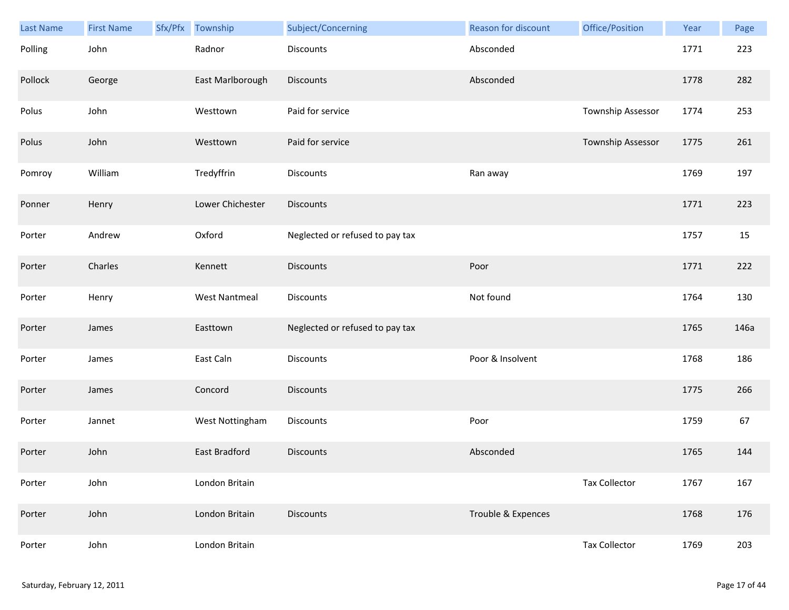| <b>Last Name</b> | <b>First Name</b> | Sfx/Pfx | Township             | Subject/Concerning              | Reason for discount | Office/Position      | Year | Page |
|------------------|-------------------|---------|----------------------|---------------------------------|---------------------|----------------------|------|------|
| Polling          | John              |         | Radnor               | Discounts                       | Absconded           |                      | 1771 | 223  |
| Pollock          | George            |         | East Marlborough     | <b>Discounts</b>                | Absconded           |                      | 1778 | 282  |
| Polus            | John              |         | Westtown             | Paid for service                |                     | Township Assessor    | 1774 | 253  |
| Polus            | John              |         | Westtown             | Paid for service                |                     | Township Assessor    | 1775 | 261  |
| Pomroy           | William           |         | Tredyffrin           | Discounts                       | Ran away            |                      | 1769 | 197  |
| Ponner           | Henry             |         | Lower Chichester     | <b>Discounts</b>                |                     |                      | 1771 | 223  |
| Porter           | Andrew            |         | Oxford               | Neglected or refused to pay tax |                     |                      | 1757 | 15   |
| Porter           | Charles           |         | Kennett              | <b>Discounts</b>                | Poor                |                      | 1771 | 222  |
| Porter           | Henry             |         | <b>West Nantmeal</b> | Discounts                       | Not found           |                      | 1764 | 130  |
| Porter           | James             |         | Easttown             | Neglected or refused to pay tax |                     |                      | 1765 | 146a |
| Porter           | James             |         | East Caln            | Discounts                       | Poor & Insolvent    |                      | 1768 | 186  |
| Porter           | James             |         | Concord              | <b>Discounts</b>                |                     |                      | 1775 | 266  |
| Porter           | Jannet            |         | West Nottingham      | Discounts                       | Poor                |                      | 1759 | 67   |
| Porter           | John              |         | East Bradford        | <b>Discounts</b>                | Absconded           |                      | 1765 | 144  |
| Porter           | John              |         | London Britain       |                                 |                     | <b>Tax Collector</b> | 1767 | 167  |
| Porter           | John              |         | London Britain       | <b>Discounts</b>                | Trouble & Expences  |                      | 1768 | 176  |
| Porter           | John              |         | London Britain       |                                 |                     | <b>Tax Collector</b> | 1769 | 203  |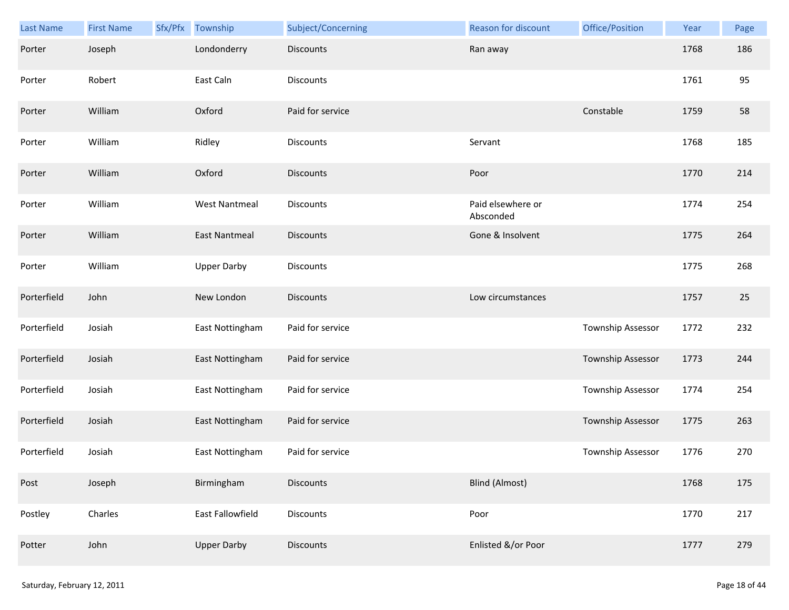| Last Name   | <b>First Name</b> | Sfx/Pfx | Township             | Subject/Concerning | Reason for discount            | Office/Position   | Year | Page |
|-------------|-------------------|---------|----------------------|--------------------|--------------------------------|-------------------|------|------|
| Porter      | Joseph            |         | Londonderry          | <b>Discounts</b>   | Ran away                       |                   | 1768 | 186  |
| Porter      | Robert            |         | East Caln            | Discounts          |                                |                   | 1761 | 95   |
| Porter      | William           |         | Oxford               | Paid for service   |                                | Constable         | 1759 | 58   |
| Porter      | William           |         | Ridley               | <b>Discounts</b>   | Servant                        |                   | 1768 | 185  |
| Porter      | William           |         | Oxford               | <b>Discounts</b>   | Poor                           |                   | 1770 | 214  |
| Porter      | William           |         | <b>West Nantmeal</b> | <b>Discounts</b>   | Paid elsewhere or<br>Absconded |                   | 1774 | 254  |
| Porter      | William           |         | <b>East Nantmeal</b> | Discounts          | Gone & Insolvent               |                   | 1775 | 264  |
| Porter      | William           |         | <b>Upper Darby</b>   | Discounts          |                                |                   | 1775 | 268  |
| Porterfield | John              |         | New London           | <b>Discounts</b>   | Low circumstances              |                   | 1757 | 25   |
| Porterfield | Josiah            |         | East Nottingham      | Paid for service   |                                | Township Assessor | 1772 | 232  |
| Porterfield | Josiah            |         | East Nottingham      | Paid for service   |                                | Township Assessor | 1773 | 244  |
| Porterfield | Josiah            |         | East Nottingham      | Paid for service   |                                | Township Assessor | 1774 | 254  |
| Porterfield | Josiah            |         | East Nottingham      | Paid for service   |                                | Township Assessor | 1775 | 263  |
| Porterfield | Josiah            |         | East Nottingham      | Paid for service   |                                | Township Assessor | 1776 | 270  |
| Post        | Joseph            |         | Birmingham           | <b>Discounts</b>   | <b>Blind (Almost)</b>          |                   | 1768 | 175  |
| Postley     | Charles           |         | East Fallowfield     | <b>Discounts</b>   | Poor                           |                   | 1770 | 217  |
| Potter      | John              |         | <b>Upper Darby</b>   | Discounts          | Enlisted &/or Poor             |                   | 1777 | 279  |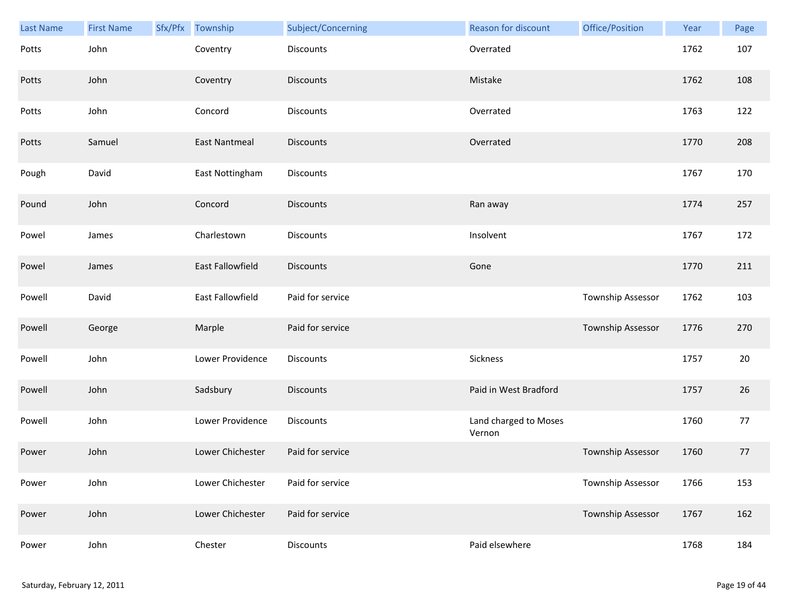| Last Name | <b>First Name</b> | Sfx/Pfx Township     | Subject/Concerning | <b>Reason for discount</b>      | Office/Position   | Year | Page   |
|-----------|-------------------|----------------------|--------------------|---------------------------------|-------------------|------|--------|
| Potts     | John              | Coventry             | Discounts          | Overrated                       |                   | 1762 | 107    |
| Potts     | John              | Coventry             | <b>Discounts</b>   | Mistake                         |                   | 1762 | 108    |
| Potts     | John              | Concord              | Discounts          | Overrated                       |                   | 1763 | 122    |
| Potts     | Samuel            | <b>East Nantmeal</b> | <b>Discounts</b>   | Overrated                       |                   | 1770 | 208    |
| Pough     | David             | East Nottingham      | Discounts          |                                 |                   | 1767 | 170    |
| Pound     | John              | Concord              | <b>Discounts</b>   | Ran away                        |                   | 1774 | 257    |
| Powel     | James             | Charlestown          | Discounts          | Insolvent                       |                   | 1767 | 172    |
| Powel     | James             | East Fallowfield     | <b>Discounts</b>   | Gone                            |                   | 1770 | 211    |
| Powell    | David             | East Fallowfield     | Paid for service   |                                 | Township Assessor | 1762 | 103    |
| Powell    | George            | Marple               | Paid for service   |                                 | Township Assessor | 1776 | 270    |
| Powell    | John              | Lower Providence     | Discounts          | Sickness                        |                   | 1757 | $20\,$ |
| Powell    | John              | Sadsbury             | <b>Discounts</b>   | Paid in West Bradford           |                   | 1757 | 26     |
| Powell    | John              | Lower Providence     | Discounts          | Land charged to Moses<br>Vernon |                   | 1760 | 77     |
| Power     | John              | Lower Chichester     | Paid for service   |                                 | Township Assessor | 1760 | 77     |
| Power     | John              | Lower Chichester     | Paid for service   |                                 | Township Assessor | 1766 | 153    |
| Power     | John              | Lower Chichester     | Paid for service   |                                 | Township Assessor | 1767 | 162    |
| Power     | John              | Chester              | Discounts          | Paid elsewhere                  |                   | 1768 | 184    |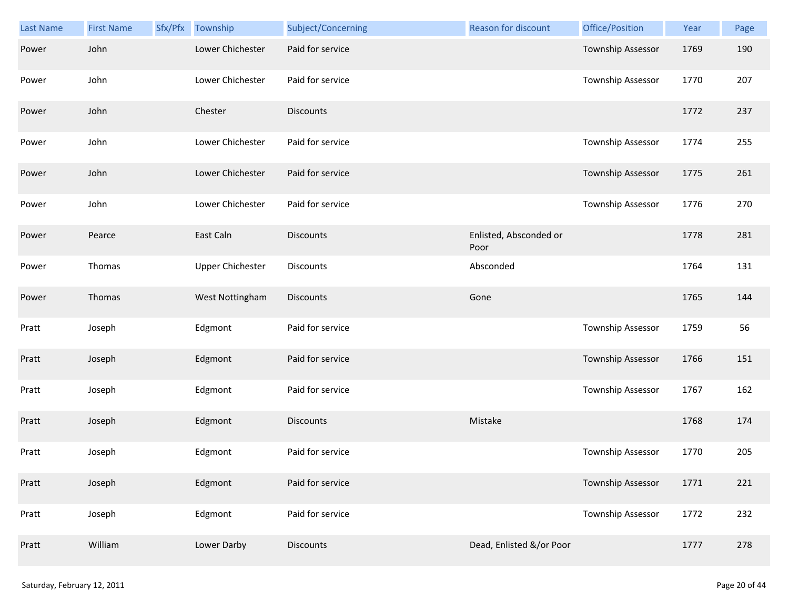| Last Name | <b>First Name</b> | Sfx/Pfx Township        | Subject/Concerning | Reason for discount            | Office/Position          | Year | Page |
|-----------|-------------------|-------------------------|--------------------|--------------------------------|--------------------------|------|------|
| Power     | John              | Lower Chichester        | Paid for service   |                                | Township Assessor        | 1769 | 190  |
| Power     | John              | Lower Chichester        | Paid for service   |                                | Township Assessor        | 1770 | 207  |
| Power     | John              | Chester                 | <b>Discounts</b>   |                                |                          | 1772 | 237  |
| Power     | John              | Lower Chichester        | Paid for service   |                                | Township Assessor        | 1774 | 255  |
| Power     | John              | Lower Chichester        | Paid for service   |                                | Township Assessor        | 1775 | 261  |
| Power     | John              | Lower Chichester        | Paid for service   |                                | Township Assessor        | 1776 | 270  |
| Power     | Pearce            | East Caln               | <b>Discounts</b>   | Enlisted, Absconded or<br>Poor |                          | 1778 | 281  |
| Power     | Thomas            | <b>Upper Chichester</b> | Discounts          | Absconded                      |                          | 1764 | 131  |
| Power     | Thomas            | West Nottingham         | <b>Discounts</b>   | Gone                           |                          | 1765 | 144  |
| Pratt     | Joseph            | Edgmont                 | Paid for service   |                                | Township Assessor        | 1759 | 56   |
| Pratt     | Joseph            | Edgmont                 | Paid for service   |                                | Township Assessor        | 1766 | 151  |
| Pratt     | Joseph            | Edgmont                 | Paid for service   |                                | Township Assessor        | 1767 | 162  |
| Pratt     | Joseph            | Edgmont                 | Discounts          | Mistake                        |                          | 1768 | 174  |
| Pratt     | Joseph            | Edgmont                 | Paid for service   |                                | Township Assessor        | 1770 | 205  |
| Pratt     | Joseph            | Edgmont                 | Paid for service   |                                | <b>Township Assessor</b> | 1771 | 221  |
| Pratt     | Joseph            | Edgmont                 | Paid for service   |                                | Township Assessor        | 1772 | 232  |
| Pratt     | William           | Lower Darby             | <b>Discounts</b>   | Dead, Enlisted &/or Poor       |                          | 1777 | 278  |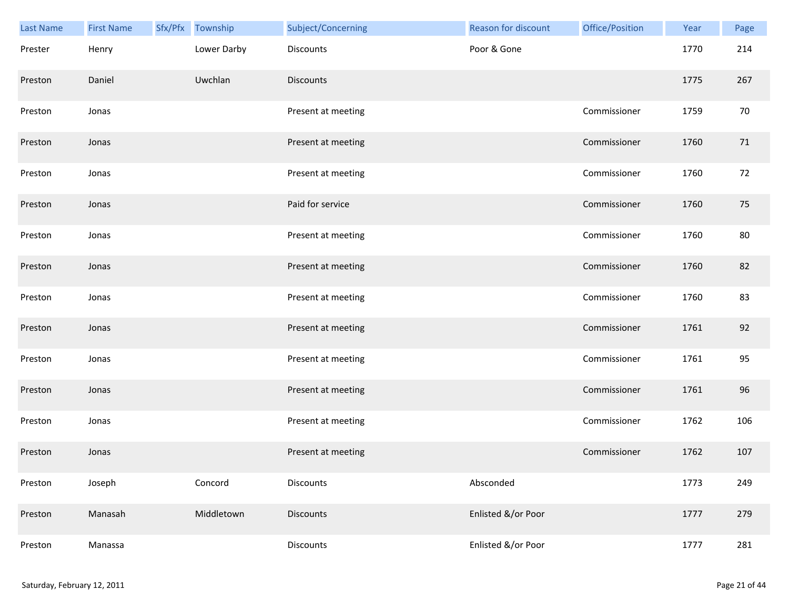| Last Name | <b>First Name</b> | Sfx/Pfx Township | Subject/Concerning | Reason for discount | Office/Position | Year | Page |
|-----------|-------------------|------------------|--------------------|---------------------|-----------------|------|------|
| Prester   | Henry             | Lower Darby      | <b>Discounts</b>   | Poor & Gone         |                 | 1770 | 214  |
| Preston   | Daniel            | Uwchlan          | <b>Discounts</b>   |                     |                 | 1775 | 267  |
| Preston   | Jonas             |                  | Present at meeting |                     | Commissioner    | 1759 | 70   |
| Preston   | Jonas             |                  | Present at meeting |                     | Commissioner    | 1760 | 71   |
| Preston   | Jonas             |                  | Present at meeting |                     | Commissioner    | 1760 | 72   |
| Preston   | Jonas             |                  | Paid for service   |                     | Commissioner    | 1760 | 75   |
| Preston   | Jonas             |                  | Present at meeting |                     | Commissioner    | 1760 | 80   |
| Preston   | Jonas             |                  | Present at meeting |                     | Commissioner    | 1760 | 82   |
| Preston   | Jonas             |                  | Present at meeting |                     | Commissioner    | 1760 | 83   |
| Preston   | Jonas             |                  | Present at meeting |                     | Commissioner    | 1761 | 92   |
| Preston   | Jonas             |                  | Present at meeting |                     | Commissioner    | 1761 | 95   |
| Preston   | Jonas             |                  | Present at meeting |                     | Commissioner    | 1761 | 96   |
| Preston   | Jonas             |                  | Present at meeting |                     | Commissioner    | 1762 | 106  |
| Preston   | Jonas             |                  | Present at meeting |                     | Commissioner    | 1762 | 107  |
| Preston   | Joseph            | Concord          | Discounts          | Absconded           |                 | 1773 | 249  |
| Preston   | Manasah           | Middletown       | <b>Discounts</b>   | Enlisted &/or Poor  |                 | 1777 | 279  |
| Preston   | Manassa           |                  | Discounts          | Enlisted &/or Poor  |                 | 1777 | 281  |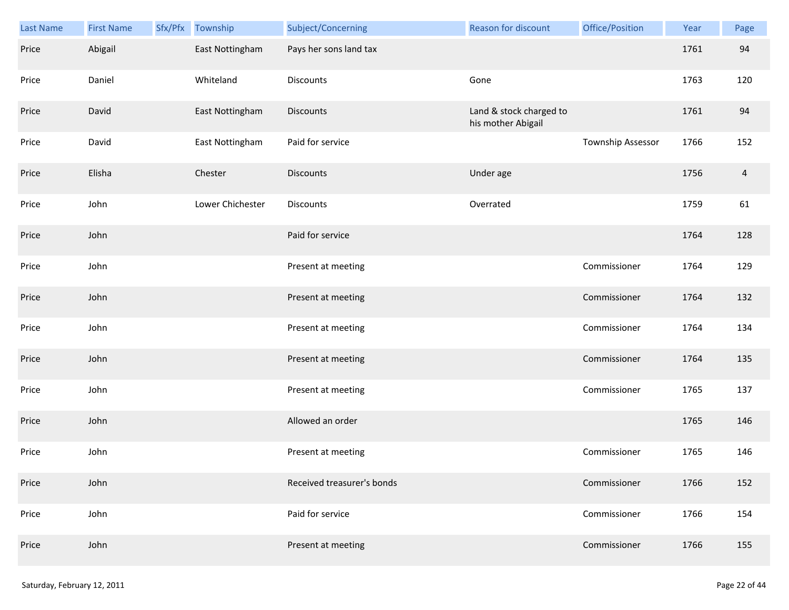| Last Name | <b>First Name</b> | Sfx/Pfx Township | Subject/Concerning         | Reason for discount                           | Office/Position   | Year | Page           |
|-----------|-------------------|------------------|----------------------------|-----------------------------------------------|-------------------|------|----------------|
| Price     | Abigail           | East Nottingham  | Pays her sons land tax     |                                               |                   | 1761 | 94             |
| Price     | Daniel            | Whiteland        | Discounts                  | Gone                                          |                   | 1763 | 120            |
| Price     | David             | East Nottingham  | <b>Discounts</b>           | Land & stock charged to<br>his mother Abigail |                   | 1761 | 94             |
| Price     | David             | East Nottingham  | Paid for service           |                                               | Township Assessor | 1766 | 152            |
| Price     | Elisha            | Chester          | <b>Discounts</b>           | Under age                                     |                   | 1756 | $\overline{a}$ |
| Price     | John              | Lower Chichester | Discounts                  | Overrated                                     |                   | 1759 | 61             |
| Price     | John              |                  | Paid for service           |                                               |                   | 1764 | 128            |
| Price     | John              |                  | Present at meeting         |                                               | Commissioner      | 1764 | 129            |
| Price     | John              |                  | Present at meeting         |                                               | Commissioner      | 1764 | 132            |
| Price     | John              |                  | Present at meeting         |                                               | Commissioner      | 1764 | 134            |
| Price     | John              |                  | Present at meeting         |                                               | Commissioner      | 1764 | 135            |
| Price     | John              |                  | Present at meeting         |                                               | Commissioner      | 1765 | 137            |
| Price     | John              |                  | Allowed an order           |                                               |                   | 1765 | 146            |
| Price     | John              |                  | Present at meeting         |                                               | Commissioner      | 1765 | 146            |
| Price     | John              |                  | Received treasurer's bonds |                                               | Commissioner      | 1766 | 152            |
| Price     | John              |                  | Paid for service           |                                               | Commissioner      | 1766 | 154            |
| Price     | John              |                  | Present at meeting         |                                               | Commissioner      | 1766 | 155            |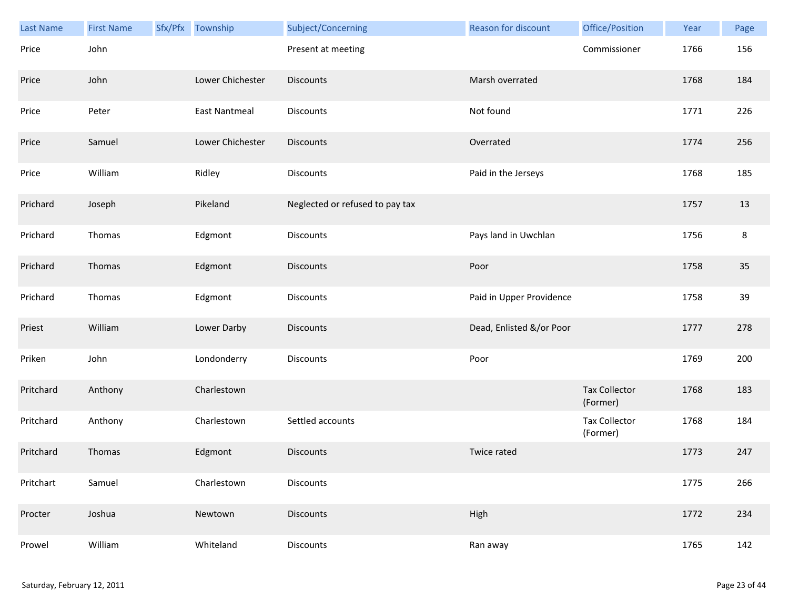| Last Name | <b>First Name</b> | Sfx/Pfx Township | Subject/Concerning              | <b>Reason for discount</b> | Office/Position                  | Year | Page    |
|-----------|-------------------|------------------|---------------------------------|----------------------------|----------------------------------|------|---------|
| Price     | John              |                  | Present at meeting              |                            | Commissioner                     | 1766 | 156     |
| Price     | John              | Lower Chichester | <b>Discounts</b>                | Marsh overrated            |                                  | 1768 | 184     |
| Price     | Peter             | East Nantmeal    | Discounts                       | Not found                  |                                  | 1771 | 226     |
| Price     | Samuel            | Lower Chichester | <b>Discounts</b>                | Overrated                  |                                  | 1774 | 256     |
| Price     | William           | Ridley           | Discounts                       | Paid in the Jerseys        |                                  | 1768 | 185     |
| Prichard  | Joseph            | Pikeland         | Neglected or refused to pay tax |                            |                                  | 1757 | 13      |
| Prichard  | Thomas            | Edgmont          | Discounts                       | Pays land in Uwchlan       |                                  | 1756 | $\bf 8$ |
| Prichard  | Thomas            | Edgmont          | <b>Discounts</b>                | Poor                       |                                  | 1758 | 35      |
| Prichard  | Thomas            | Edgmont          | Discounts                       | Paid in Upper Providence   |                                  | 1758 | 39      |
| Priest    | William           | Lower Darby      | <b>Discounts</b>                | Dead, Enlisted &/or Poor   |                                  | 1777 | 278     |
| Priken    | John              | Londonderry      | Discounts                       | Poor                       |                                  | 1769 | 200     |
| Pritchard | Anthony           | Charlestown      |                                 |                            | <b>Tax Collector</b><br>(Former) | 1768 | 183     |
| Pritchard | Anthony           | Charlestown      | Settled accounts                |                            | <b>Tax Collector</b><br>(Former) | 1768 | 184     |
| Pritchard | Thomas            | Edgmont          | <b>Discounts</b>                | Twice rated                |                                  | 1773 | 247     |
| Pritchart | Samuel            | Charlestown      | <b>Discounts</b>                |                            |                                  | 1775 | 266     |
| Procter   | Joshua            | Newtown          | <b>Discounts</b>                | High                       |                                  | 1772 | 234     |
| Prowel    | William           | Whiteland        | Discounts                       | Ran away                   |                                  | 1765 | 142     |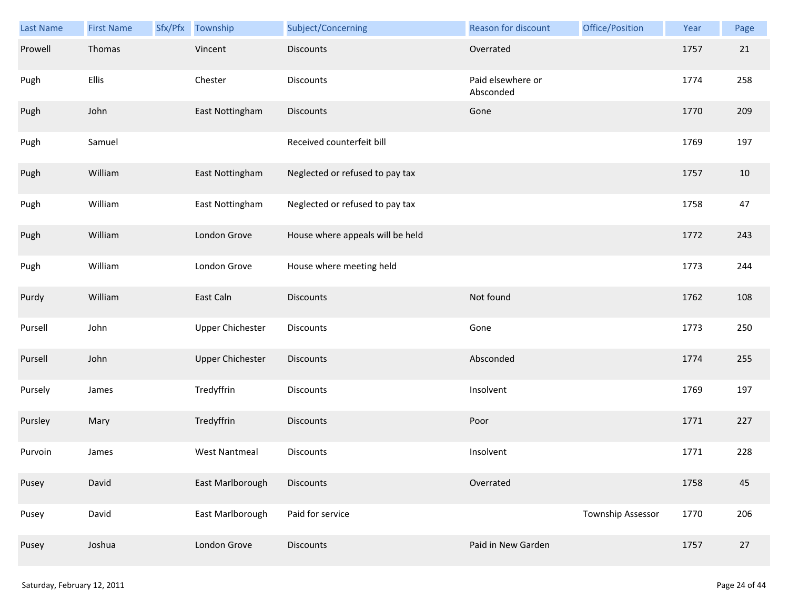| <b>Last Name</b> | <b>First Name</b> | Sfx/Pfx | Township                | Subject/Concerning               | Reason for discount            | Office/Position   | Year | Page |
|------------------|-------------------|---------|-------------------------|----------------------------------|--------------------------------|-------------------|------|------|
| Prowell          | Thomas            |         | Vincent                 | <b>Discounts</b>                 | Overrated                      |                   | 1757 | 21   |
| Pugh             | Ellis             |         | Chester                 | <b>Discounts</b>                 | Paid elsewhere or<br>Absconded |                   | 1774 | 258  |
| Pugh             | John              |         | East Nottingham         | Discounts                        | Gone                           |                   | 1770 | 209  |
| Pugh             | Samuel            |         |                         | Received counterfeit bill        |                                |                   | 1769 | 197  |
| Pugh             | William           |         | East Nottingham         | Neglected or refused to pay tax  |                                |                   | 1757 | 10   |
| Pugh             | William           |         | East Nottingham         | Neglected or refused to pay tax  |                                |                   | 1758 | 47   |
| Pugh             | William           |         | London Grove            | House where appeals will be held |                                |                   | 1772 | 243  |
| Pugh             | William           |         | London Grove            | House where meeting held         |                                |                   | 1773 | 244  |
| Purdy            | William           |         | East Caln               | <b>Discounts</b>                 | Not found                      |                   | 1762 | 108  |
| Pursell          | John              |         | <b>Upper Chichester</b> | <b>Discounts</b>                 | Gone                           |                   | 1773 | 250  |
| Pursell          | John              |         | <b>Upper Chichester</b> | Discounts                        | Absconded                      |                   | 1774 | 255  |
| Pursely          | James             |         | Tredyffrin              | Discounts                        | Insolvent                      |                   | 1769 | 197  |
| Pursley          | Mary              |         | Tredyffrin              | Discounts                        | Poor                           |                   | 1771 | 227  |
| Purvoin          | James             |         | <b>West Nantmeal</b>    | <b>Discounts</b>                 | Insolvent                      |                   | 1771 | 228  |
| Pusey            | David             |         | East Marlborough        | <b>Discounts</b>                 | Overrated                      |                   | 1758 | 45   |
| Pusey            | David             |         | East Marlborough        | Paid for service                 |                                | Township Assessor | 1770 | 206  |
| Pusey            | Joshua            |         | London Grove            | <b>Discounts</b>                 | Paid in New Garden             |                   | 1757 | 27   |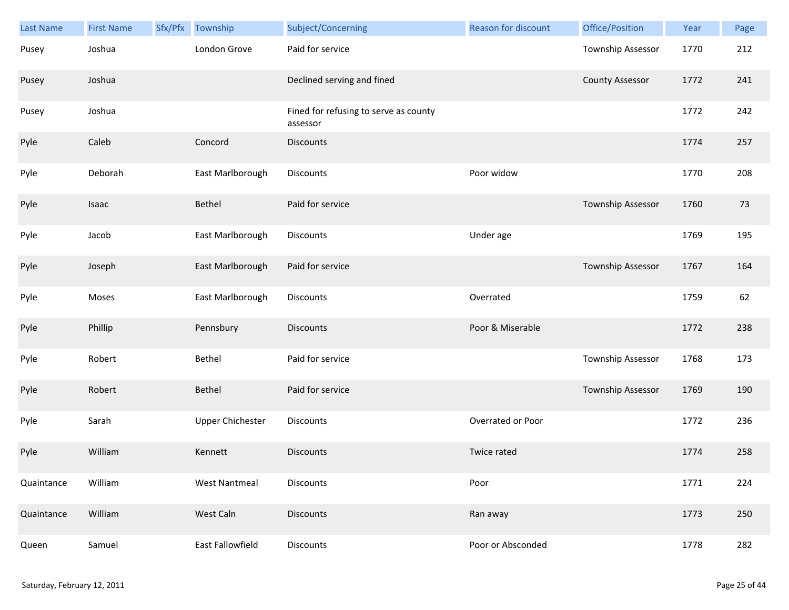| <b>Last Name</b> | <b>First Name</b> | Sfx/Pfx | Township                | Subject/Concerning                                | Reason for discount | Office/Position          | Year | Page |
|------------------|-------------------|---------|-------------------------|---------------------------------------------------|---------------------|--------------------------|------|------|
| Pusey            | Joshua            |         | London Grove            | Paid for service                                  |                     | <b>Township Assessor</b> | 1770 | 212  |
| Pusey            | Joshua            |         |                         | Declined serving and fined                        |                     | <b>County Assessor</b>   | 1772 | 241  |
| Pusey            | Joshua            |         |                         | Fined for refusing to serve as county<br>assessor |                     |                          | 1772 | 242  |
| Pyle             | Caleb             |         | Concord                 | <b>Discounts</b>                                  |                     |                          | 1774 | 257  |
| Pyle             | Deborah           |         | East Marlborough        | Discounts                                         | Poor widow          |                          | 1770 | 208  |
| Pyle             | Isaac             |         | Bethel                  | Paid for service                                  |                     | Township Assessor        | 1760 | 73   |
| Pyle             | Jacob             |         | East Marlborough        | Discounts                                         | Under age           |                          | 1769 | 195  |
| Pyle             | Joseph            |         | East Marlborough        | Paid for service                                  |                     | <b>Township Assessor</b> | 1767 | 164  |
| Pyle             | Moses             |         | East Marlborough        | Discounts                                         | Overrated           |                          | 1759 | 62   |
| Pyle             | Phillip           |         | Pennsbury               | <b>Discounts</b>                                  | Poor & Miserable    |                          | 1772 | 238  |
| Pyle             | Robert            |         | Bethel                  | Paid for service                                  |                     | Township Assessor        | 1768 | 173  |
| Pyle             | Robert            |         | Bethel                  | Paid for service                                  |                     | Township Assessor        | 1769 | 190  |
| Pyle             | Sarah             |         | <b>Upper Chichester</b> | <b>Discounts</b>                                  | Overrated or Poor   |                          | 1772 | 236  |
| Pyle             | William           |         | Kennett                 | <b>Discounts</b>                                  | Twice rated         |                          | 1774 | 258  |
| Quaintance       | William           |         | <b>West Nantmeal</b>    | Discounts                                         | Poor                |                          | 1771 | 224  |
| Quaintance       | William           |         | West Caln               | <b>Discounts</b>                                  | Ran away            |                          | 1773 | 250  |
| Queen            | Samuel            |         | East Fallowfield        | Discounts                                         | Poor or Absconded   |                          | 1778 | 282  |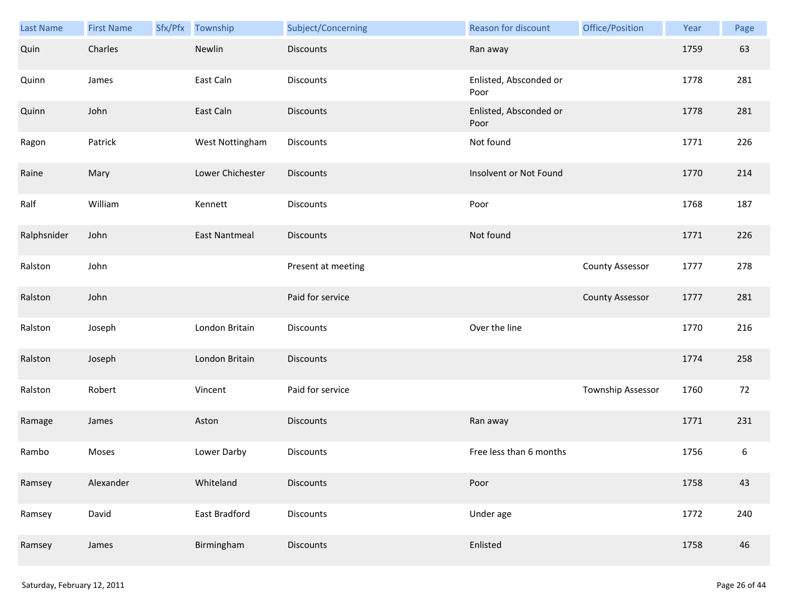| Last Name   | <b>First Name</b> | Sfx/Pfx Township     | Subject/Concerning | Reason for discount            | Office/Position        | Year | Page |
|-------------|-------------------|----------------------|--------------------|--------------------------------|------------------------|------|------|
| Quin        | Charles           | Newlin               | <b>Discounts</b>   | Ran away                       |                        | 1759 | 63   |
| Quinn       | James             | East Caln            | Discounts          | Enlisted, Absconded or<br>Poor |                        | 1778 | 281  |
| Quinn       | John              | East Caln            | <b>Discounts</b>   | Enlisted, Absconded or<br>Poor |                        | 1778 | 281  |
| Ragon       | Patrick           | West Nottingham      | Discounts          | Not found                      |                        | 1771 | 226  |
| Raine       | Mary              | Lower Chichester     | <b>Discounts</b>   | Insolvent or Not Found         |                        | 1770 | 214  |
| Ralf        | William           | Kennett              | Discounts          | Poor                           |                        | 1768 | 187  |
| Ralphsnider | John              | <b>East Nantmeal</b> | <b>Discounts</b>   | Not found                      |                        | 1771 | 226  |
| Ralston     | John              |                      | Present at meeting |                                | <b>County Assessor</b> | 1777 | 278  |
| Ralston     | John              |                      | Paid for service   |                                | <b>County Assessor</b> | 1777 | 281  |
| Ralston     | Joseph            | London Britain       | Discounts          | Over the line                  |                        | 1770 | 216  |
| Ralston     | Joseph            | London Britain       | <b>Discounts</b>   |                                |                        | 1774 | 258  |
| Ralston     | Robert            | Vincent              | Paid for service   |                                | Township Assessor      | 1760 | 72   |
| Ramage      | James             | Aston                | <b>Discounts</b>   | Ran away                       |                        | 1771 | 231  |
| Rambo       | Moses             | Lower Darby          | Discounts          | Free less than 6 months        |                        | 1756 | 6    |
| Ramsey      | Alexander         | Whiteland            | <b>Discounts</b>   | Poor                           |                        | 1758 | 43   |
| Ramsey      | David             | East Bradford        | <b>Discounts</b>   | Under age                      |                        | 1772 | 240  |
| Ramsey      | James             | Birmingham           | Discounts          | Enlisted                       |                        | 1758 | 46   |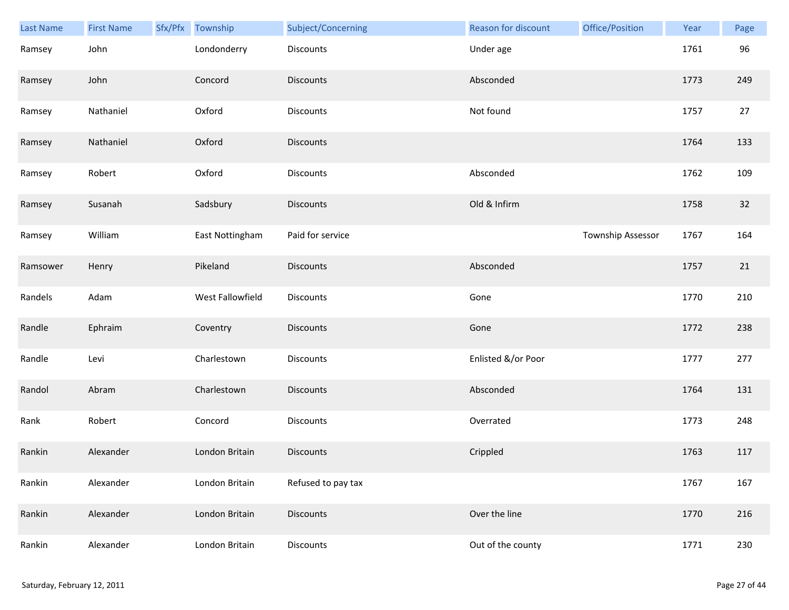| Last Name | <b>First Name</b> | Sfx/Pfx Township | Subject/Concerning | Reason for discount | Office/Position   | Year | Page   |
|-----------|-------------------|------------------|--------------------|---------------------|-------------------|------|--------|
| Ramsey    | John              | Londonderry      | Discounts          | Under age           |                   | 1761 | 96     |
| Ramsey    | John              | Concord          | <b>Discounts</b>   | Absconded           |                   | 1773 | 249    |
| Ramsey    | Nathaniel         | Oxford           | Discounts          | Not found           |                   | 1757 | $27\,$ |
| Ramsey    | Nathaniel         | Oxford           | <b>Discounts</b>   |                     |                   | 1764 | 133    |
| Ramsey    | Robert            | Oxford           | Discounts          | Absconded           |                   | 1762 | 109    |
| Ramsey    | Susanah           | Sadsbury         | <b>Discounts</b>   | Old & Infirm        |                   | 1758 | 32     |
| Ramsey    | William           | East Nottingham  | Paid for service   |                     | Township Assessor | 1767 | 164    |
| Ramsower  | Henry             | Pikeland         | <b>Discounts</b>   | Absconded           |                   | 1757 | 21     |
| Randels   | Adam              | West Fallowfield | Discounts          | Gone                |                   | 1770 | 210    |
| Randle    | Ephraim           | Coventry         | Discounts          | Gone                |                   | 1772 | 238    |
| Randle    | Levi              | Charlestown      | Discounts          | Enlisted &/or Poor  |                   | 1777 | 277    |
| Randol    | Abram             | Charlestown      | Discounts          | Absconded           |                   | 1764 | 131    |
| Rank      | Robert            | Concord          | Discounts          | Overrated           |                   | 1773 | 248    |
| Rankin    | Alexander         | London Britain   | <b>Discounts</b>   | Crippled            |                   | 1763 | 117    |
| Rankin    | Alexander         | London Britain   | Refused to pay tax |                     |                   | 1767 | 167    |
| Rankin    | Alexander         | London Britain   | <b>Discounts</b>   | Over the line       |                   | 1770 | 216    |
| Rankin    | Alexander         | London Britain   | Discounts          | Out of the county   |                   | 1771 | 230    |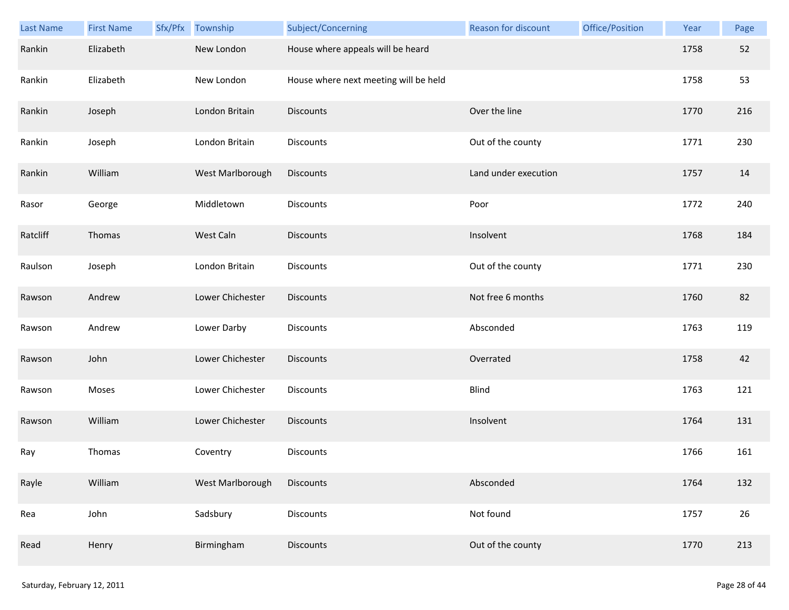| <b>Last Name</b> | <b>First Name</b> | Sfx/Pfx | Township         | Subject/Concerning                    | Reason for discount  | Office/Position | Year | Page   |
|------------------|-------------------|---------|------------------|---------------------------------------|----------------------|-----------------|------|--------|
| Rankin           | Elizabeth         |         | New London       | House where appeals will be heard     |                      |                 | 1758 | 52     |
| Rankin           | Elizabeth         |         | New London       | House where next meeting will be held |                      |                 | 1758 | 53     |
| Rankin           | Joseph            |         | London Britain   | <b>Discounts</b>                      | Over the line        |                 | 1770 | 216    |
| Rankin           | Joseph            |         | London Britain   | Discounts                             | Out of the county    |                 | 1771 | 230    |
| Rankin           | William           |         | West Marlborough | <b>Discounts</b>                      | Land under execution |                 | 1757 | 14     |
| Rasor            | George            |         | Middletown       | Discounts                             | Poor                 |                 | 1772 | 240    |
| Ratcliff         | Thomas            |         | West Caln        | <b>Discounts</b>                      | Insolvent            |                 | 1768 | 184    |
| Raulson          | Joseph            |         | London Britain   | Discounts                             | Out of the county    |                 | 1771 | 230    |
| Rawson           | Andrew            |         | Lower Chichester | <b>Discounts</b>                      | Not free 6 months    |                 | 1760 | 82     |
| Rawson           | Andrew            |         | Lower Darby      | Discounts                             | Absconded            |                 | 1763 | 119    |
| Rawson           | John              |         | Lower Chichester | <b>Discounts</b>                      | Overrated            |                 | 1758 | 42     |
| Rawson           | Moses             |         | Lower Chichester | Discounts                             | <b>Blind</b>         |                 | 1763 | 121    |
| Rawson           | William           |         | Lower Chichester | Discounts                             | Insolvent            |                 | 1764 | 131    |
| Ray              | Thomas            |         | Coventry         | Discounts                             |                      |                 | 1766 | 161    |
| Rayle            | William           |         | West Marlborough | <b>Discounts</b>                      | Absconded            |                 | 1764 | 132    |
| Rea              | John              |         | Sadsbury         | <b>Discounts</b>                      | Not found            |                 | 1757 | $26\,$ |
| Read             | Henry             |         | Birmingham       | <b>Discounts</b>                      | Out of the county    |                 | 1770 | 213    |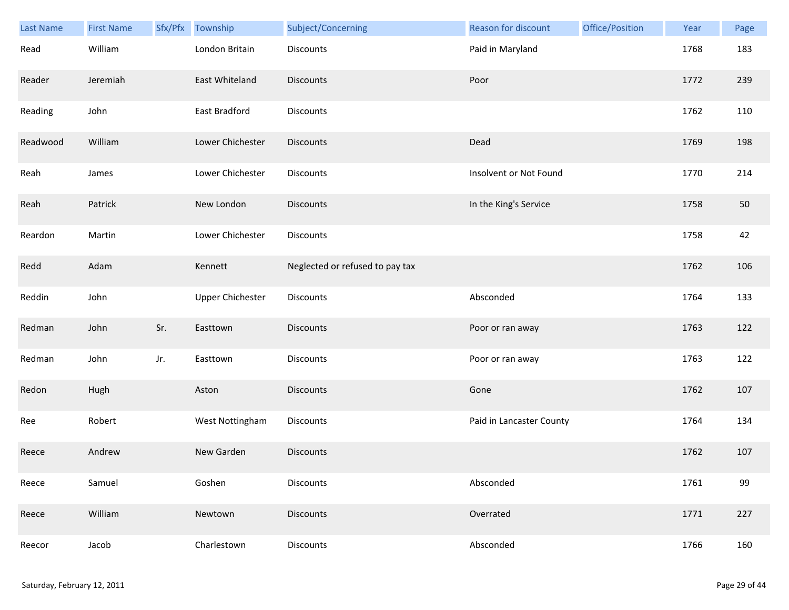| Last Name | <b>First Name</b> | Sfx/Pfx | Township                | Subject/Concerning              | Reason for discount      | Office/Position | Year | Page |
|-----------|-------------------|---------|-------------------------|---------------------------------|--------------------------|-----------------|------|------|
| Read      | William           |         | London Britain          | Discounts                       | Paid in Maryland         |                 | 1768 | 183  |
| Reader    | Jeremiah          |         | East Whiteland          | <b>Discounts</b>                | Poor                     |                 | 1772 | 239  |
| Reading   | John              |         | East Bradford           | Discounts                       |                          |                 | 1762 | 110  |
| Readwood  | William           |         | Lower Chichester        | <b>Discounts</b>                | Dead                     |                 | 1769 | 198  |
| Reah      | James             |         | Lower Chichester        | Discounts                       | Insolvent or Not Found   |                 | 1770 | 214  |
| Reah      | Patrick           |         | New London              | <b>Discounts</b>                | In the King's Service    |                 | 1758 | 50   |
| Reardon   | Martin            |         | Lower Chichester        | Discounts                       |                          |                 | 1758 | 42   |
| Redd      | Adam              |         | Kennett                 | Neglected or refused to pay tax |                          |                 | 1762 | 106  |
| Reddin    | John              |         | <b>Upper Chichester</b> | Discounts                       | Absconded                |                 | 1764 | 133  |
| Redman    | John              | Sr.     | Easttown                | <b>Discounts</b>                | Poor or ran away         |                 | 1763 | 122  |
| Redman    | John              | Jr.     | Easttown                | Discounts                       | Poor or ran away         |                 | 1763 | 122  |
| Redon     | Hugh              |         | Aston                   | <b>Discounts</b>                | Gone                     |                 | 1762 | 107  |
| Ree       | Robert            |         | West Nottingham         | Discounts                       | Paid in Lancaster County |                 | 1764 | 134  |
| Reece     | Andrew            |         | New Garden              | <b>Discounts</b>                |                          |                 | 1762 | 107  |
| Reece     | Samuel            |         | Goshen                  | <b>Discounts</b>                | Absconded                |                 | 1761 | 99   |
| Reece     | William           |         | Newtown                 | <b>Discounts</b>                | Overrated                |                 | 1771 | 227  |
| Reecor    | Jacob             |         | Charlestown             | <b>Discounts</b>                | Absconded                |                 | 1766 | 160  |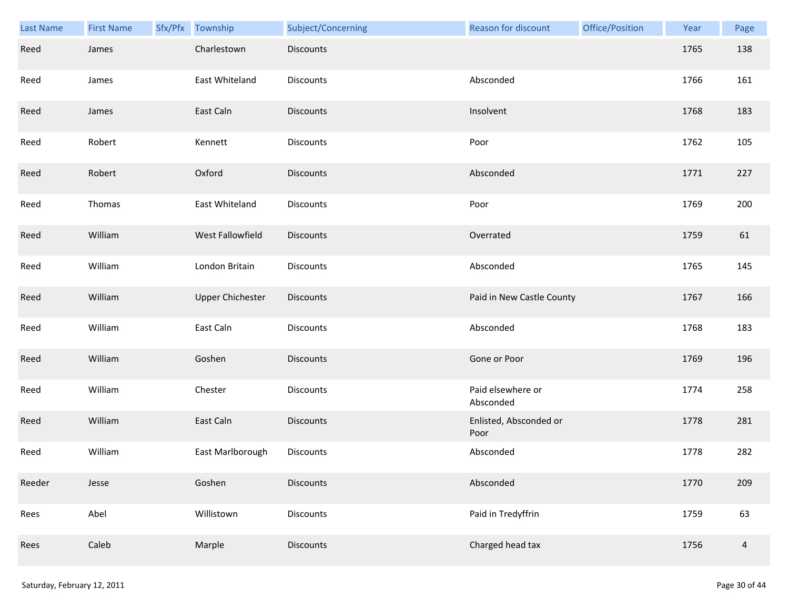| <b>Last Name</b> | <b>First Name</b> | Sfx/Pfx | Township                | Subject/Concerning | <b>Reason for discount</b>     | Office/Position | Year | Page           |
|------------------|-------------------|---------|-------------------------|--------------------|--------------------------------|-----------------|------|----------------|
| Reed             | James             |         | Charlestown             | <b>Discounts</b>   |                                |                 | 1765 | 138            |
| Reed             | James             |         | East Whiteland          | Discounts          | Absconded                      |                 | 1766 | 161            |
| Reed             | James             |         | East Caln               | Discounts          | Insolvent                      |                 | 1768 | 183            |
| Reed             | Robert            |         | Kennett                 | <b>Discounts</b>   | Poor                           |                 | 1762 | 105            |
| Reed             | Robert            |         | Oxford                  | <b>Discounts</b>   | Absconded                      |                 | 1771 | 227            |
| Reed             | Thomas            |         | East Whiteland          | Discounts          | Poor                           |                 | 1769 | 200            |
| Reed             | William           |         | West Fallowfield        | Discounts          | Overrated                      |                 | 1759 | 61             |
| Reed             | William           |         | London Britain          | Discounts          | Absconded                      |                 | 1765 | 145            |
| Reed             | William           |         | <b>Upper Chichester</b> | Discounts          | Paid in New Castle County      |                 | 1767 | 166            |
| Reed             | William           |         | East Caln               | Discounts          | Absconded                      |                 | 1768 | 183            |
| Reed             | William           |         | Goshen                  | <b>Discounts</b>   | Gone or Poor                   |                 | 1769 | 196            |
| Reed             | William           |         | Chester                 | <b>Discounts</b>   | Paid elsewhere or<br>Absconded |                 | 1774 | 258            |
| Reed             | William           |         | East Caln               | <b>Discounts</b>   | Enlisted, Absconded or<br>Poor |                 | 1778 | 281            |
| Reed             | William           |         | East Marlborough        | Discounts          | Absconded                      |                 | 1778 | 282            |
| Reeder           | Jesse             |         | Goshen                  | <b>Discounts</b>   | Absconded                      |                 | 1770 | 209            |
| Rees             | Abel              |         | Willistown              | <b>Discounts</b>   | Paid in Tredyffrin             |                 | 1759 | 63             |
| Rees             | Caleb             |         | Marple                  | <b>Discounts</b>   | Charged head tax               |                 | 1756 | $\overline{4}$ |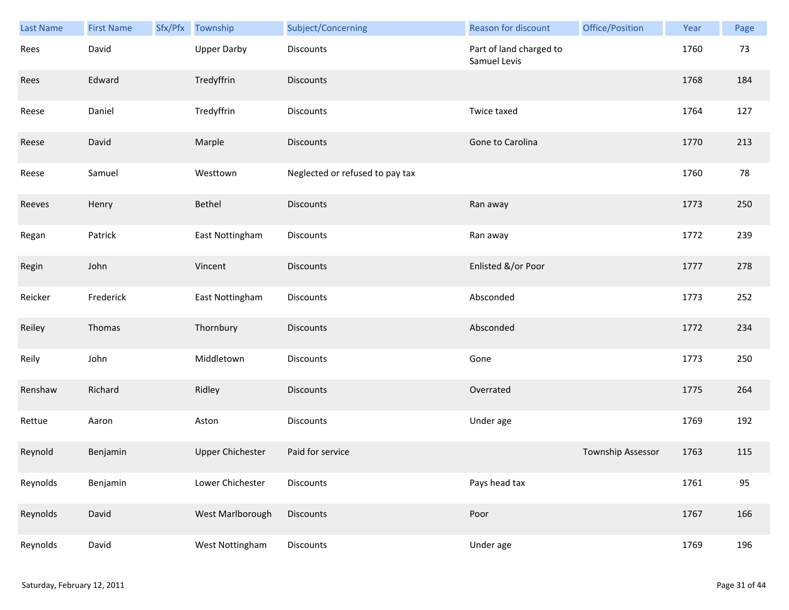| Last Name | <b>First Name</b> | Sfx/Pfx | Township                | Subject/Concerning              | Reason for discount                     | Office/Position   | Year | Page |
|-----------|-------------------|---------|-------------------------|---------------------------------|-----------------------------------------|-------------------|------|------|
| Rees      | David             |         | <b>Upper Darby</b>      | Discounts                       | Part of land charged to<br>Samuel Levis |                   | 1760 | 73   |
| Rees      | Edward            |         | Tredyffrin              | <b>Discounts</b>                |                                         |                   | 1768 | 184  |
| Reese     | Daniel            |         | Tredyffrin              | Discounts                       | Twice taxed                             |                   | 1764 | 127  |
| Reese     | David             |         | Marple                  | <b>Discounts</b>                | Gone to Carolina                        |                   | 1770 | 213  |
| Reese     | Samuel            |         | Westtown                | Neglected or refused to pay tax |                                         |                   | 1760 | 78   |
| Reeves    | Henry             |         | Bethel                  | <b>Discounts</b>                | Ran away                                |                   | 1773 | 250  |
| Regan     | Patrick           |         | East Nottingham         | Discounts                       | Ran away                                |                   | 1772 | 239  |
| Regin     | John              |         | Vincent                 | <b>Discounts</b>                | Enlisted &/or Poor                      |                   | 1777 | 278  |
| Reicker   | Frederick         |         | East Nottingham         | Discounts                       | Absconded                               |                   | 1773 | 252  |
| Reiley    | Thomas            |         | Thornbury               | <b>Discounts</b>                | Absconded                               |                   | 1772 | 234  |
| Reily     | John              |         | Middletown              | Discounts                       | Gone                                    |                   | 1773 | 250  |
| Renshaw   | Richard           |         | Ridley                  | <b>Discounts</b>                | Overrated                               |                   | 1775 | 264  |
| Rettue    | Aaron             |         | Aston                   | Discounts                       | Under age                               |                   | 1769 | 192  |
| Reynold   | Benjamin          |         | <b>Upper Chichester</b> | Paid for service                |                                         | Township Assessor | 1763 | 115  |
| Reynolds  | Benjamin          |         | Lower Chichester        | Discounts                       | Pays head tax                           |                   | 1761 | 95   |
| Reynolds  | David             |         | West Marlborough        | Discounts                       | Poor                                    |                   | 1767 | 166  |
| Reynolds  | David             |         | West Nottingham         | Discounts                       | Under age                               |                   | 1769 | 196  |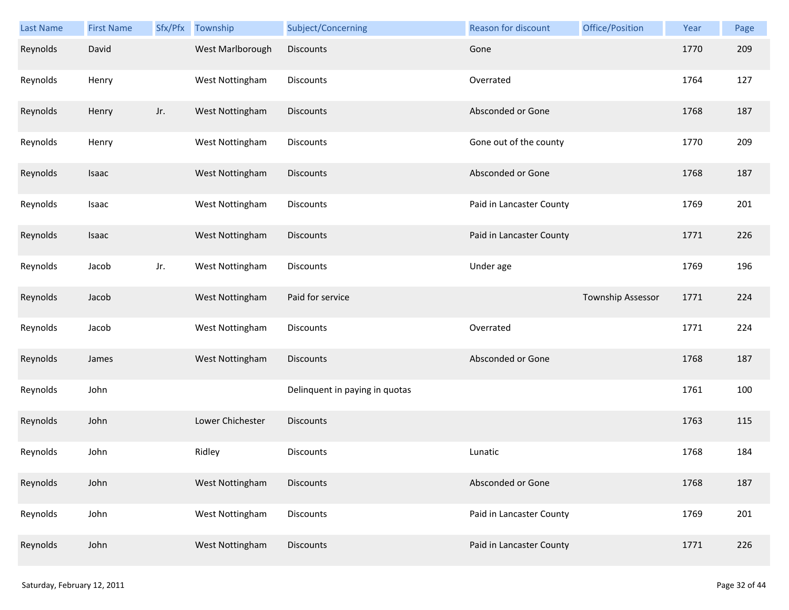| <b>Last Name</b> | <b>First Name</b> | Sfx/Pfx | Township         | Subject/Concerning             | Reason for discount      | Office/Position   | Year | Page |
|------------------|-------------------|---------|------------------|--------------------------------|--------------------------|-------------------|------|------|
| Reynolds         | David             |         | West Marlborough | <b>Discounts</b>               | Gone                     |                   | 1770 | 209  |
| Reynolds         | Henry             |         | West Nottingham  | Discounts                      | Overrated                |                   | 1764 | 127  |
| Reynolds         | Henry             | Jr.     | West Nottingham  | Discounts                      | Absconded or Gone        |                   | 1768 | 187  |
| Reynolds         | Henry             |         | West Nottingham  | <b>Discounts</b>               | Gone out of the county   |                   | 1770 | 209  |
| Reynolds         | Isaac             |         | West Nottingham  | <b>Discounts</b>               | Absconded or Gone        |                   | 1768 | 187  |
| Reynolds         | Isaac             |         | West Nottingham  | <b>Discounts</b>               | Paid in Lancaster County |                   | 1769 | 201  |
| Reynolds         | Isaac             |         | West Nottingham  | <b>Discounts</b>               | Paid in Lancaster County |                   | 1771 | 226  |
| Reynolds         | Jacob             | Jr.     | West Nottingham  | Discounts                      | Under age                |                   | 1769 | 196  |
| Reynolds         | Jacob             |         | West Nottingham  | Paid for service               |                          | Township Assessor | 1771 | 224  |
| Reynolds         | Jacob             |         | West Nottingham  | Discounts                      | Overrated                |                   | 1771 | 224  |
| Reynolds         | James             |         | West Nottingham  | <b>Discounts</b>               | Absconded or Gone        |                   | 1768 | 187  |
| Reynolds         | John              |         |                  | Delinquent in paying in quotas |                          |                   | 1761 | 100  |
| Reynolds         | John              |         | Lower Chichester | Discounts                      |                          |                   | 1763 | 115  |
| Reynolds         | John              |         | Ridley           | <b>Discounts</b>               | Lunatic                  |                   | 1768 | 184  |
| Reynolds         | John              |         | West Nottingham  | <b>Discounts</b>               | Absconded or Gone        |                   | 1768 | 187  |
| Reynolds         | John              |         | West Nottingham  | Discounts                      | Paid in Lancaster County |                   | 1769 | 201  |
| Reynolds         | John              |         | West Nottingham  | <b>Discounts</b>               | Paid in Lancaster County |                   | 1771 | 226  |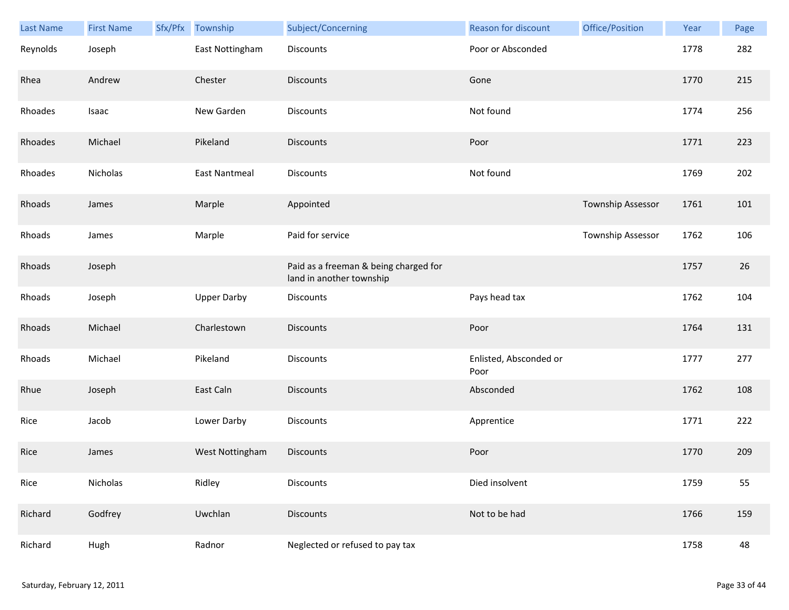| Last Name | <b>First Name</b> | Sfx/Pfx | Township             | Subject/Concerning                                                | <b>Reason for discount</b>     | Office/Position          | Year | Page |
|-----------|-------------------|---------|----------------------|-------------------------------------------------------------------|--------------------------------|--------------------------|------|------|
| Reynolds  | Joseph            |         | East Nottingham      | Discounts                                                         | Poor or Absconded              |                          | 1778 | 282  |
| Rhea      | Andrew            |         | Chester              | <b>Discounts</b>                                                  | Gone                           |                          | 1770 | 215  |
| Rhoades   | Isaac             |         | New Garden           | Discounts                                                         | Not found                      |                          | 1774 | 256  |
| Rhoades   | Michael           |         | Pikeland             | <b>Discounts</b>                                                  | Poor                           |                          | 1771 | 223  |
| Rhoades   | Nicholas          |         | <b>East Nantmeal</b> | Discounts                                                         | Not found                      |                          | 1769 | 202  |
| Rhoads    | James             |         | Marple               | Appointed                                                         |                                | Township Assessor        | 1761 | 101  |
| Rhoads    | James             |         | Marple               | Paid for service                                                  |                                | <b>Township Assessor</b> | 1762 | 106  |
| Rhoads    | Joseph            |         |                      | Paid as a freeman & being charged for<br>land in another township |                                |                          | 1757 | 26   |
| Rhoads    | Joseph            |         | <b>Upper Darby</b>   | Discounts                                                         | Pays head tax                  |                          | 1762 | 104  |
| Rhoads    | Michael           |         | Charlestown          | Discounts                                                         | Poor                           |                          | 1764 | 131  |
| Rhoads    | Michael           |         | Pikeland             | Discounts                                                         | Enlisted, Absconded or<br>Poor |                          | 1777 | 277  |
| Rhue      | Joseph            |         | East Caln            | <b>Discounts</b>                                                  | Absconded                      |                          | 1762 | 108  |
| Rice      | Jacob             |         | Lower Darby          | Discounts                                                         | Apprentice                     |                          | 1771 | 222  |
| Rice      | James             |         | West Nottingham      | <b>Discounts</b>                                                  | Poor                           |                          | 1770 | 209  |
| Rice      | Nicholas          |         | Ridley               | <b>Discounts</b>                                                  | Died insolvent                 |                          | 1759 | 55   |
| Richard   | Godfrey           |         | Uwchlan              | <b>Discounts</b>                                                  | Not to be had                  |                          | 1766 | 159  |
| Richard   | Hugh              |         | Radnor               | Neglected or refused to pay tax                                   |                                |                          | 1758 | 48   |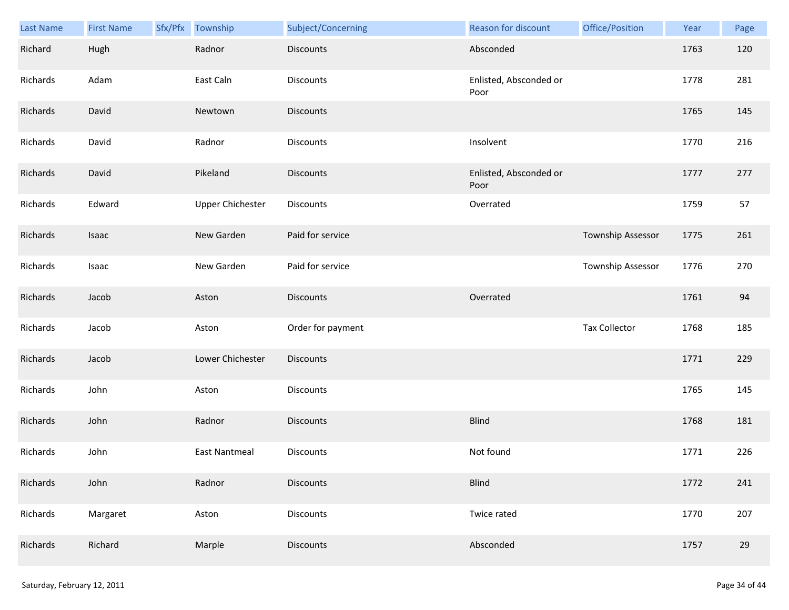| Last Name | <b>First Name</b> | Sfx/Pfx | Township                | Subject/Concerning | Reason for discount            | Office/Position          | Year | Page |
|-----------|-------------------|---------|-------------------------|--------------------|--------------------------------|--------------------------|------|------|
| Richard   | Hugh              |         | Radnor                  | <b>Discounts</b>   | Absconded                      |                          | 1763 | 120  |
| Richards  | Adam              |         | East Caln               | Discounts          | Enlisted, Absconded or<br>Poor |                          | 1778 | 281  |
| Richards  | David             |         | Newtown                 | Discounts          |                                |                          | 1765 | 145  |
| Richards  | David             |         | Radnor                  | Discounts          | Insolvent                      |                          | 1770 | 216  |
| Richards  | David             |         | Pikeland                | <b>Discounts</b>   | Enlisted, Absconded or<br>Poor |                          | 1777 | 277  |
| Richards  | Edward            |         | <b>Upper Chichester</b> | Discounts          | Overrated                      |                          | 1759 | 57   |
| Richards  | Isaac             |         | New Garden              | Paid for service   |                                | <b>Township Assessor</b> | 1775 | 261  |
| Richards  | Isaac             |         | New Garden              | Paid for service   |                                | Township Assessor        | 1776 | 270  |
| Richards  | Jacob             |         | Aston                   | <b>Discounts</b>   | Overrated                      |                          | 1761 | 94   |
| Richards  | Jacob             |         | Aston                   | Order for payment  |                                | <b>Tax Collector</b>     | 1768 | 185  |
| Richards  | Jacob             |         | Lower Chichester        | Discounts          |                                |                          | 1771 | 229  |
| Richards  | John              |         | Aston                   | Discounts          |                                |                          | 1765 | 145  |
| Richards  | John              |         | Radnor                  | <b>Discounts</b>   | <b>Blind</b>                   |                          | 1768 | 181  |
| Richards  | John              |         | <b>East Nantmeal</b>    | Discounts          | Not found                      |                          | 1771 | 226  |
| Richards  | John              |         | Radnor                  | <b>Discounts</b>   | <b>Blind</b>                   |                          | 1772 | 241  |
| Richards  | Margaret          |         | Aston                   | Discounts          | Twice rated                    |                          | 1770 | 207  |
| Richards  | Richard           |         | Marple                  | <b>Discounts</b>   | Absconded                      |                          | 1757 | 29   |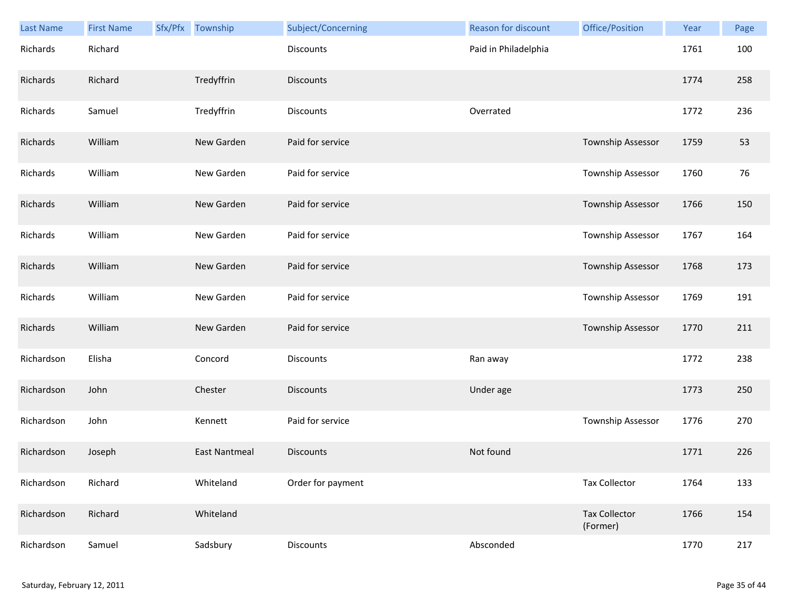| Last Name  | <b>First Name</b> | Sfx/Pfx Township     | Subject/Concerning | <b>Reason for discount</b> | Office/Position                  | Year | Page |
|------------|-------------------|----------------------|--------------------|----------------------------|----------------------------------|------|------|
| Richards   | Richard           |                      | Discounts          | Paid in Philadelphia       |                                  | 1761 | 100  |
| Richards   | Richard           | Tredyffrin           | <b>Discounts</b>   |                            |                                  | 1774 | 258  |
| Richards   | Samuel            | Tredyffrin           | Discounts          | Overrated                  |                                  | 1772 | 236  |
| Richards   | William           | New Garden           | Paid for service   |                            | Township Assessor                | 1759 | 53   |
| Richards   | William           | New Garden           | Paid for service   |                            | Township Assessor                | 1760 | 76   |
| Richards   | William           | New Garden           | Paid for service   |                            | Township Assessor                | 1766 | 150  |
| Richards   | William           | New Garden           | Paid for service   |                            | Township Assessor                | 1767 | 164  |
| Richards   | William           | New Garden           | Paid for service   |                            | Township Assessor                | 1768 | 173  |
| Richards   | William           | New Garden           | Paid for service   |                            | Township Assessor                | 1769 | 191  |
| Richards   | William           | New Garden           | Paid for service   |                            | Township Assessor                | 1770 | 211  |
| Richardson | Elisha            | Concord              | <b>Discounts</b>   | Ran away                   |                                  | 1772 | 238  |
| Richardson | John              | Chester              | <b>Discounts</b>   | Under age                  |                                  | 1773 | 250  |
| Richardson | John              | Kennett              | Paid for service   |                            | Township Assessor                | 1776 | 270  |
| Richardson | Joseph            | <b>East Nantmeal</b> | <b>Discounts</b>   | Not found                  |                                  | 1771 | 226  |
| Richardson | Richard           | Whiteland            | Order for payment  |                            | <b>Tax Collector</b>             | 1764 | 133  |
| Richardson | Richard           | Whiteland            |                    |                            | <b>Tax Collector</b><br>(Former) | 1766 | 154  |
| Richardson | Samuel            | Sadsbury             | Discounts          | Absconded                  |                                  | 1770 | 217  |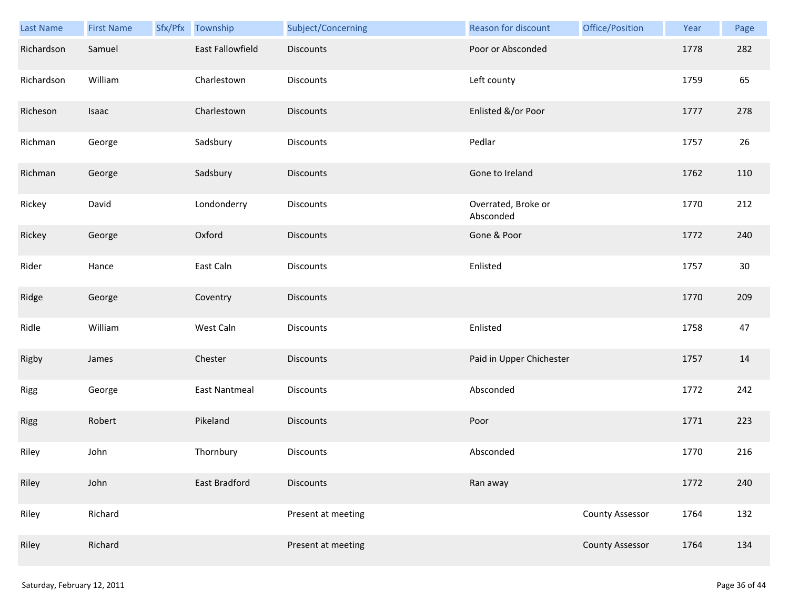| Last Name   | <b>First Name</b> | Sfx/Pfx Township     | Subject/Concerning | Reason for discount              | Office/Position        | Year | Page |
|-------------|-------------------|----------------------|--------------------|----------------------------------|------------------------|------|------|
| Richardson  | Samuel            | East Fallowfield     | <b>Discounts</b>   | Poor or Absconded                |                        | 1778 | 282  |
| Richardson  | William           | Charlestown          | <b>Discounts</b>   | Left county                      |                        | 1759 | 65   |
| Richeson    | Isaac             | Charlestown          | <b>Discounts</b>   | Enlisted &/or Poor               |                        | 1777 | 278  |
| Richman     | George            | Sadsbury             | <b>Discounts</b>   | Pedlar                           |                        | 1757 | 26   |
| Richman     | George            | Sadsbury             | <b>Discounts</b>   | Gone to Ireland                  |                        | 1762 | 110  |
| Rickey      | David             | Londonderry          | <b>Discounts</b>   | Overrated, Broke or<br>Absconded |                        | 1770 | 212  |
| Rickey      | George            | Oxford               | <b>Discounts</b>   | Gone & Poor                      |                        | 1772 | 240  |
| Rider       | Hance             | East Caln            | Discounts          | Enlisted                         |                        | 1757 | 30   |
| Ridge       | George            | Coventry             | <b>Discounts</b>   |                                  |                        | 1770 | 209  |
| Ridle       | William           | West Caln            | <b>Discounts</b>   | Enlisted                         |                        | 1758 | 47   |
| Rigby       | James             | Chester              | <b>Discounts</b>   | Paid in Upper Chichester         |                        | 1757 | 14   |
| Rigg        | George            | <b>East Nantmeal</b> | <b>Discounts</b>   | Absconded                        |                        | 1772 | 242  |
| <b>Rigg</b> | Robert            | Pikeland             | <b>Discounts</b>   | Poor                             |                        | 1771 | 223  |
| Riley       | John              | Thornbury            | <b>Discounts</b>   | Absconded                        |                        | 1770 | 216  |
| Riley       | John              | East Bradford        | <b>Discounts</b>   | Ran away                         |                        | 1772 | 240  |
| Riley       | Richard           |                      | Present at meeting |                                  | <b>County Assessor</b> | 1764 | 132  |
| Riley       | Richard           |                      | Present at meeting |                                  | <b>County Assessor</b> | 1764 | 134  |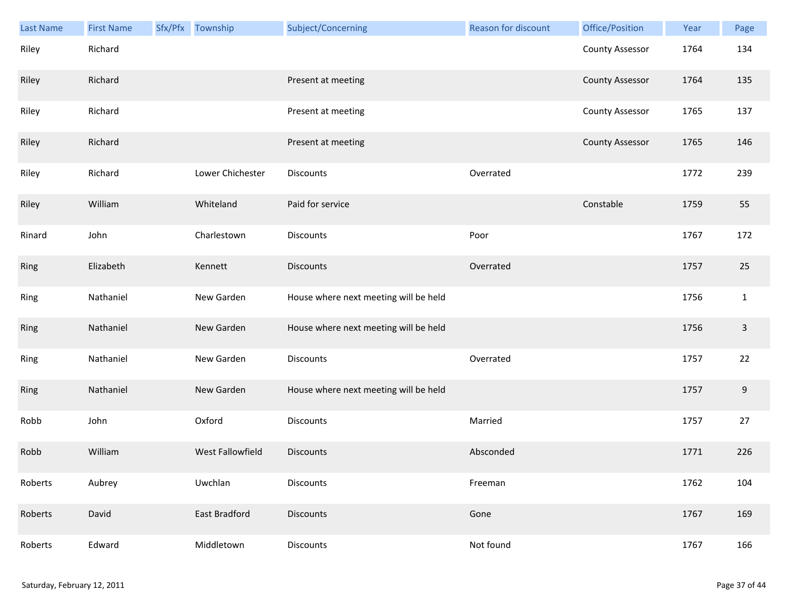| Last Name | <b>First Name</b> | Sfx/Pfx Township | Subject/Concerning                    | Reason for discount | Office/Position        | Year | Page             |
|-----------|-------------------|------------------|---------------------------------------|---------------------|------------------------|------|------------------|
| Riley     | Richard           |                  |                                       |                     | <b>County Assessor</b> | 1764 | 134              |
| Riley     | Richard           |                  | Present at meeting                    |                     | <b>County Assessor</b> | 1764 | 135              |
| Riley     | Richard           |                  | Present at meeting                    |                     | <b>County Assessor</b> | 1765 | 137              |
| Riley     | Richard           |                  | Present at meeting                    |                     | <b>County Assessor</b> | 1765 | 146              |
| Riley     | Richard           | Lower Chichester | Discounts                             | Overrated           |                        | 1772 | 239              |
| Riley     | William           | Whiteland        | Paid for service                      |                     | Constable              | 1759 | 55               |
| Rinard    | John              | Charlestown      | <b>Discounts</b>                      | Poor                |                        | 1767 | 172              |
| Ring      | Elizabeth         | Kennett          | <b>Discounts</b>                      | Overrated           |                        | 1757 | 25               |
| Ring      | Nathaniel         | New Garden       | House where next meeting will be held |                     |                        | 1756 | $\mathbf{1}$     |
| Ring      | Nathaniel         | New Garden       | House where next meeting will be held |                     |                        | 1756 | $\overline{3}$   |
| Ring      | Nathaniel         | New Garden       | Discounts                             | Overrated           |                        | 1757 | 22               |
| Ring      | Nathaniel         | New Garden       | House where next meeting will be held |                     |                        | 1757 | $\boldsymbol{9}$ |
| Robb      | John              | Oxford           | Discounts                             | Married             |                        | 1757 | 27               |
| Robb      | William           | West Fallowfield | <b>Discounts</b>                      | Absconded           |                        | 1771 | 226              |
| Roberts   | Aubrey            | Uwchlan          | Discounts                             | Freeman             |                        | 1762 | 104              |
| Roberts   | David             | East Bradford    | Discounts                             | Gone                |                        | 1767 | 169              |
| Roberts   | Edward            | Middletown       | Discounts                             | Not found           |                        | 1767 | 166              |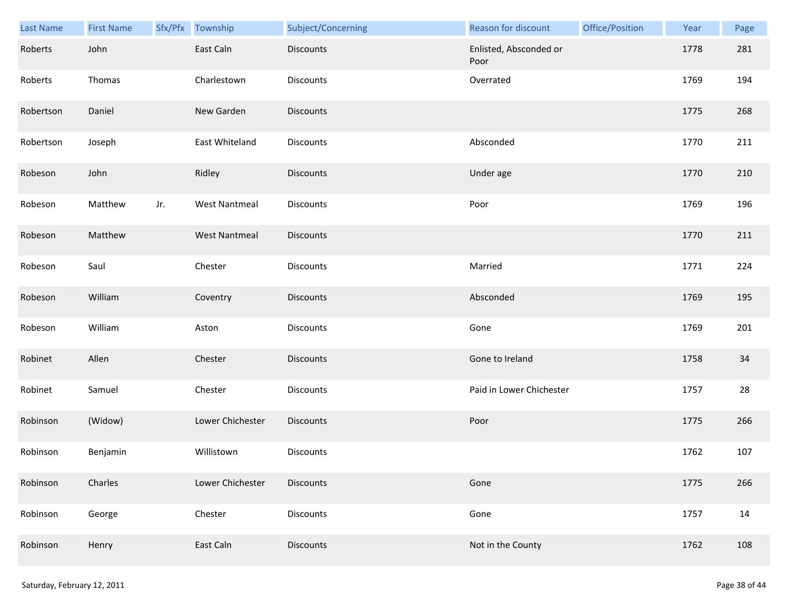| <b>Last Name</b> | <b>First Name</b> | Sfx/Pfx | Township             | Subject/Concerning | Reason for discount            | Office/Position | Year | Page |
|------------------|-------------------|---------|----------------------|--------------------|--------------------------------|-----------------|------|------|
| Roberts          | John              |         | East Caln            | <b>Discounts</b>   | Enlisted, Absconded or<br>Poor |                 | 1778 | 281  |
| Roberts          | Thomas            |         | Charlestown          | <b>Discounts</b>   | Overrated                      |                 | 1769 | 194  |
| Robertson        | Daniel            |         | New Garden           | <b>Discounts</b>   |                                |                 | 1775 | 268  |
| Robertson        | Joseph            |         | East Whiteland       | <b>Discounts</b>   | Absconded                      |                 | 1770 | 211  |
| Robeson          | John              |         | Ridley               | <b>Discounts</b>   | Under age                      |                 | 1770 | 210  |
| Robeson          | Matthew           | Jr.     | <b>West Nantmeal</b> | Discounts          | Poor                           |                 | 1769 | 196  |
| Robeson          | Matthew           |         | <b>West Nantmeal</b> | <b>Discounts</b>   |                                |                 | 1770 | 211  |
| Robeson          | Saul              |         | Chester              | Discounts          | Married                        |                 | 1771 | 224  |
| Robeson          | William           |         | Coventry             | <b>Discounts</b>   | Absconded                      |                 | 1769 | 195  |
| Robeson          | William           |         | Aston                | Discounts          | Gone                           |                 | 1769 | 201  |
| Robinet          | Allen             |         | Chester              | <b>Discounts</b>   | Gone to Ireland                |                 | 1758 | 34   |
| Robinet          | Samuel            |         | Chester              | Discounts          | Paid in Lower Chichester       |                 | 1757 | 28   |
| Robinson         | (Widow)           |         | Lower Chichester     | Discounts          | Poor                           |                 | 1775 | 266  |
| Robinson         | Benjamin          |         | Willistown           | Discounts          |                                |                 | 1762 | 107  |
| Robinson         | Charles           |         | Lower Chichester     | <b>Discounts</b>   | Gone                           |                 | 1775 | 266  |
| Robinson         | George            |         | Chester              | Discounts          | Gone                           |                 | 1757 | 14   |
| Robinson         | Henry             |         | East Caln            | <b>Discounts</b>   | Not in the County              |                 | 1762 | 108  |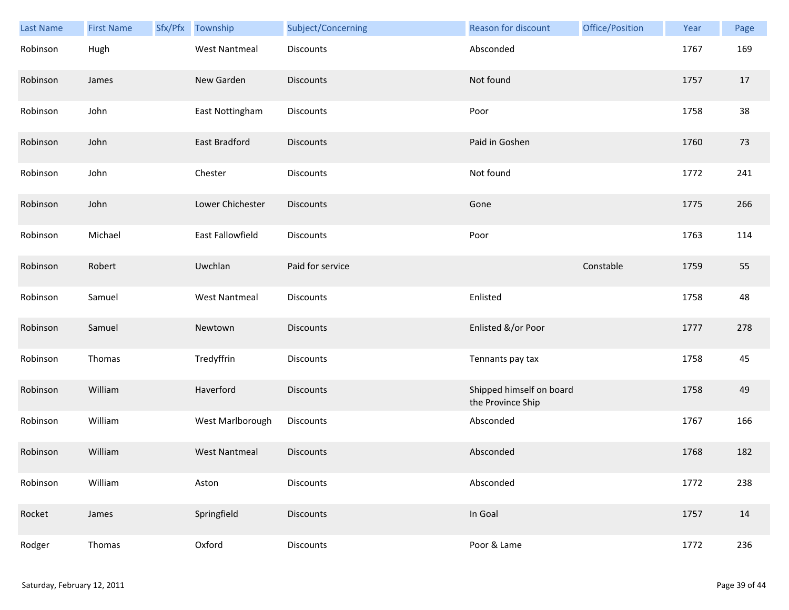| Last Name | <b>First Name</b> | Sfx/Pfx | Township             | Subject/Concerning | Reason for discount                           | Office/Position | Year | Page |
|-----------|-------------------|---------|----------------------|--------------------|-----------------------------------------------|-----------------|------|------|
| Robinson  | Hugh              |         | <b>West Nantmeal</b> | <b>Discounts</b>   | Absconded                                     |                 | 1767 | 169  |
| Robinson  | James             |         | New Garden           | <b>Discounts</b>   | Not found                                     |                 | 1757 | 17   |
| Robinson  | John              |         | East Nottingham      | Discounts          | Poor                                          |                 | 1758 | 38   |
| Robinson  | John              |         | <b>East Bradford</b> | <b>Discounts</b>   | Paid in Goshen                                |                 | 1760 | 73   |
| Robinson  | John              |         | Chester              | <b>Discounts</b>   | Not found                                     |                 | 1772 | 241  |
| Robinson  | John              |         | Lower Chichester     | <b>Discounts</b>   | Gone                                          |                 | 1775 | 266  |
| Robinson  | Michael           |         | East Fallowfield     | Discounts          | Poor                                          |                 | 1763 | 114  |
| Robinson  | Robert            |         | Uwchlan              | Paid for service   |                                               | Constable       | 1759 | 55   |
| Robinson  | Samuel            |         | <b>West Nantmeal</b> | Discounts          | Enlisted                                      |                 | 1758 | 48   |
| Robinson  | Samuel            |         | Newtown              | <b>Discounts</b>   | Enlisted &/or Poor                            |                 | 1777 | 278  |
| Robinson  | Thomas            |         | Tredyffrin           | Discounts          | Tennants pay tax                              |                 | 1758 | 45   |
| Robinson  | William           |         | Haverford            | <b>Discounts</b>   | Shipped himself on board<br>the Province Ship |                 | 1758 | 49   |
| Robinson  | William           |         | West Marlborough     | Discounts          | Absconded                                     |                 | 1767 | 166  |
| Robinson  | William           |         | <b>West Nantmeal</b> | <b>Discounts</b>   | Absconded                                     |                 | 1768 | 182  |
| Robinson  | William           |         | Aston                | Discounts          | Absconded                                     |                 | 1772 | 238  |
| Rocket    | James             |         | Springfield          | Discounts          | In Goal                                       |                 | 1757 | 14   |
| Rodger    | Thomas            |         | Oxford               | Discounts          | Poor & Lame                                   |                 | 1772 | 236  |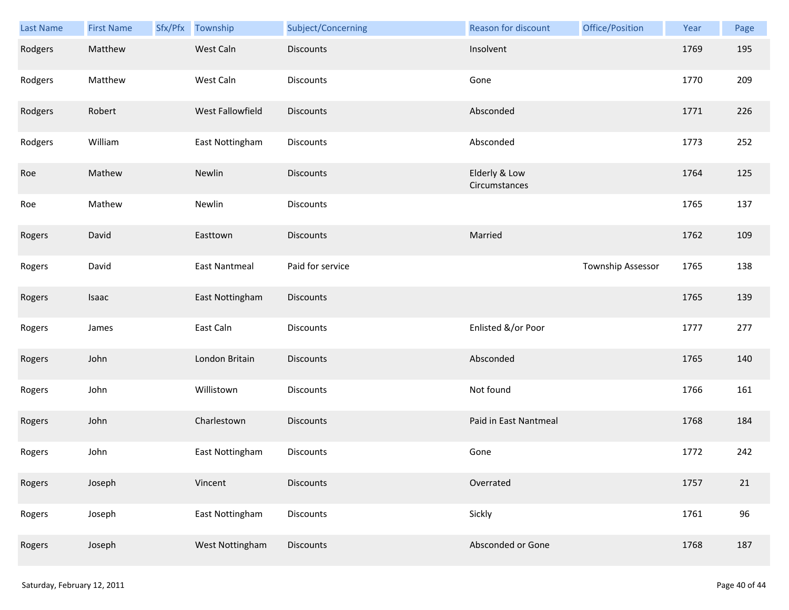| Last Name | <b>First Name</b> | Sfx/Pfx Township | Subject/Concerning | Reason for discount            | Office/Position   | Year | Page |
|-----------|-------------------|------------------|--------------------|--------------------------------|-------------------|------|------|
| Rodgers   | Matthew           | West Caln        | <b>Discounts</b>   | Insolvent                      |                   | 1769 | 195  |
| Rodgers   | Matthew           | West Caln        | Discounts          | Gone                           |                   | 1770 | 209  |
| Rodgers   | Robert            | West Fallowfield | <b>Discounts</b>   | Absconded                      |                   | 1771 | 226  |
| Rodgers   | William           | East Nottingham  | <b>Discounts</b>   | Absconded                      |                   | 1773 | 252  |
| Roe       | Mathew            | Newlin           | Discounts          | Elderly & Low<br>Circumstances |                   | 1764 | 125  |
| Roe       | Mathew            | Newlin           | Discounts          |                                |                   | 1765 | 137  |
| Rogers    | David             | Easttown         | <b>Discounts</b>   | Married                        |                   | 1762 | 109  |
| Rogers    | David             | East Nantmeal    | Paid for service   |                                | Township Assessor | 1765 | 138  |
| Rogers    | Isaac             | East Nottingham  | <b>Discounts</b>   |                                |                   | 1765 | 139  |
| Rogers    | James             | East Caln        | Discounts          | Enlisted &/or Poor             |                   | 1777 | 277  |
| Rogers    | John              | London Britain   | <b>Discounts</b>   | Absconded                      |                   | 1765 | 140  |
| Rogers    | John              | Willistown       | Discounts          | Not found                      |                   | 1766 | 161  |
| Rogers    | John              | Charlestown      | <b>Discounts</b>   | Paid in East Nantmeal          |                   | 1768 | 184  |
| Rogers    | John              | East Nottingham  | Discounts          | Gone                           |                   | 1772 | 242  |
| Rogers    | Joseph            | Vincent          | <b>Discounts</b>   | Overrated                      |                   | 1757 | 21   |
| Rogers    | Joseph            | East Nottingham  | Discounts          | Sickly                         |                   | 1761 | 96   |
| Rogers    | Joseph            | West Nottingham  | Discounts          | Absconded or Gone              |                   | 1768 | 187  |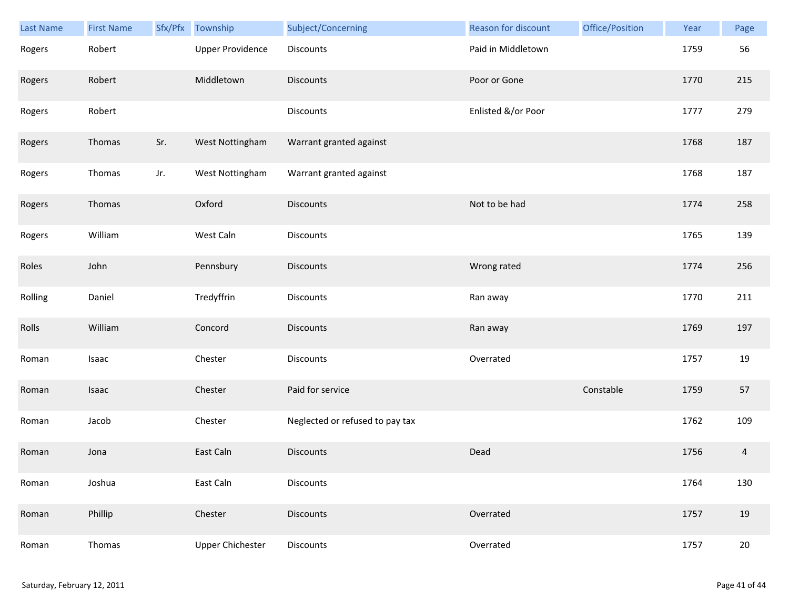| Last Name | <b>First Name</b> |     | Sfx/Pfx Township        | Subject/Concerning              | <b>Reason for discount</b> | Office/Position | Year | Page   |
|-----------|-------------------|-----|-------------------------|---------------------------------|----------------------------|-----------------|------|--------|
| Rogers    | Robert            |     | <b>Upper Providence</b> | Discounts                       | Paid in Middletown         |                 | 1759 | 56     |
| Rogers    | Robert            |     | Middletown              | <b>Discounts</b>                | Poor or Gone               |                 | 1770 | 215    |
| Rogers    | Robert            |     |                         | Discounts                       | Enlisted &/or Poor         |                 | 1777 | 279    |
| Rogers    | Thomas            | Sr. | West Nottingham         | Warrant granted against         |                            |                 | 1768 | 187    |
| Rogers    | Thomas            | Jr. | West Nottingham         | Warrant granted against         |                            |                 | 1768 | 187    |
| Rogers    | Thomas            |     | Oxford                  | <b>Discounts</b>                | Not to be had              |                 | 1774 | 258    |
| Rogers    | William           |     | West Caln               | Discounts                       |                            |                 | 1765 | 139    |
| Roles     | John              |     | Pennsbury               | Discounts                       | Wrong rated                |                 | 1774 | 256    |
| Rolling   | Daniel            |     | Tredyffrin              | <b>Discounts</b>                | Ran away                   |                 | 1770 | 211    |
| Rolls     | William           |     | Concord                 | <b>Discounts</b>                | Ran away                   |                 | 1769 | 197    |
| Roman     | Isaac             |     | Chester                 | Discounts                       | Overrated                  |                 | 1757 | 19     |
| Roman     | Isaac             |     | Chester                 | Paid for service                |                            | Constable       | 1759 | 57     |
| Roman     | Jacob             |     | Chester                 | Neglected or refused to pay tax |                            |                 | 1762 | 109    |
| Roman     | Jona              |     | East Caln               | <b>Discounts</b>                | Dead                       |                 | 1756 | 4      |
| Roman     | Joshua            |     | East Caln               | Discounts                       |                            |                 | 1764 | 130    |
| Roman     | Phillip           |     | Chester                 | <b>Discounts</b>                | Overrated                  |                 | 1757 | 19     |
| Roman     | Thomas            |     | <b>Upper Chichester</b> | Discounts                       | Overrated                  |                 | 1757 | $20\,$ |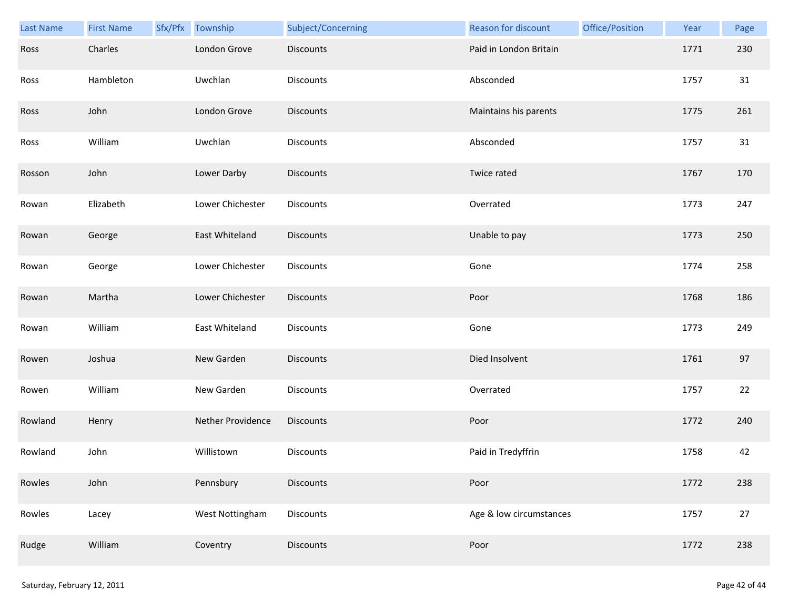| Last Name | <b>First Name</b> | Sfx/Pfx Township  | Subject/Concerning | Reason for discount     | Office/Position | Year | Page |
|-----------|-------------------|-------------------|--------------------|-------------------------|-----------------|------|------|
| Ross      | Charles           | London Grove      | <b>Discounts</b>   | Paid in London Britain  |                 | 1771 | 230  |
| Ross      | Hambleton         | Uwchlan           | Discounts          | Absconded               |                 | 1757 | 31   |
| Ross      | John              | London Grove      | <b>Discounts</b>   | Maintains his parents   |                 | 1775 | 261  |
| Ross      | William           | Uwchlan           | <b>Discounts</b>   | Absconded               |                 | 1757 | 31   |
| Rosson    | John              | Lower Darby       | <b>Discounts</b>   | Twice rated             |                 | 1767 | 170  |
| Rowan     | Elizabeth         | Lower Chichester  | Discounts          | Overrated               |                 | 1773 | 247  |
| Rowan     | George            | East Whiteland    | <b>Discounts</b>   | Unable to pay           |                 | 1773 | 250  |
| Rowan     | George            | Lower Chichester  | Discounts          | Gone                    |                 | 1774 | 258  |
| Rowan     | Martha            | Lower Chichester  | <b>Discounts</b>   | Poor                    |                 | 1768 | 186  |
| Rowan     | William           | East Whiteland    | Discounts          | Gone                    |                 | 1773 | 249  |
| Rowen     | Joshua            | New Garden        | <b>Discounts</b>   | Died Insolvent          |                 | 1761 | 97   |
| Rowen     | William           | New Garden        | Discounts          | Overrated               |                 | 1757 | 22   |
| Rowland   | Henry             | Nether Providence | Discounts          | Poor                    |                 | 1772 | 240  |
| Rowland   | John              | Willistown        | <b>Discounts</b>   | Paid in Tredyffrin      |                 | 1758 | 42   |
| Rowles    | John              | Pennsbury         | <b>Discounts</b>   | Poor                    |                 | 1772 | 238  |
| Rowles    | Lacey             | West Nottingham   | <b>Discounts</b>   | Age & low circumstances |                 | 1757 | 27   |
| Rudge     | William           | Coventry          | Discounts          | Poor                    |                 | 1772 | 238  |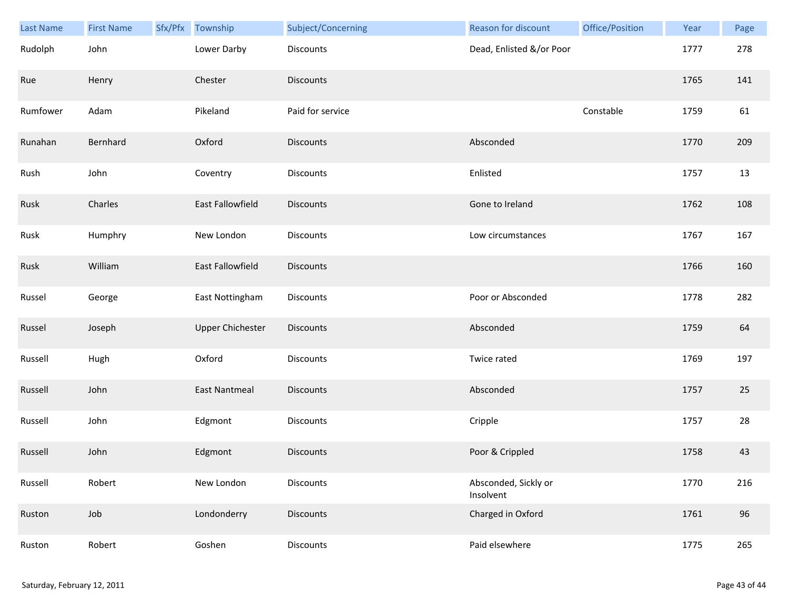| <b>Last Name</b> | <b>First Name</b> | Sfx/Pfx Township        | Subject/Concerning | Reason for discount               | Office/Position | Year | Page |
|------------------|-------------------|-------------------------|--------------------|-----------------------------------|-----------------|------|------|
| Rudolph          | John              | Lower Darby             | <b>Discounts</b>   | Dead, Enlisted &/or Poor          |                 | 1777 | 278  |
| Rue              | Henry             | Chester                 | <b>Discounts</b>   |                                   |                 | 1765 | 141  |
| Rumfower         | Adam              | Pikeland                | Paid for service   |                                   | Constable       | 1759 | 61   |
| Runahan          | Bernhard          | Oxford                  | <b>Discounts</b>   | Absconded                         |                 | 1770 | 209  |
| Rush             | John              | Coventry                | Discounts          | Enlisted                          |                 | 1757 | 13   |
| Rusk             | Charles           | East Fallowfield        | <b>Discounts</b>   | Gone to Ireland                   |                 | 1762 | 108  |
| Rusk             | Humphry           | New London              | Discounts          | Low circumstances                 |                 | 1767 | 167  |
| Rusk             | William           | East Fallowfield        | Discounts          |                                   |                 | 1766 | 160  |
| Russel           | George            | East Nottingham         | <b>Discounts</b>   | Poor or Absconded                 |                 | 1778 | 282  |
| Russel           | Joseph            | <b>Upper Chichester</b> | Discounts          | Absconded                         |                 | 1759 | 64   |
| Russell          | Hugh              | Oxford                  | Discounts          | Twice rated                       |                 | 1769 | 197  |
| Russell          | John              | <b>East Nantmeal</b>    | <b>Discounts</b>   | Absconded                         |                 | 1757 | 25   |
| Russell          | John              | Edgmont                 | Discounts          | Cripple                           |                 | 1757 | 28   |
| Russell          | John              | Edgmont                 | <b>Discounts</b>   | Poor & Crippled                   |                 | 1758 | 43   |
| Russell          | Robert            | New London              | Discounts          | Absconded, Sickly or<br>Insolvent |                 | 1770 | 216  |
| Ruston           | Job               | Londonderry             | <b>Discounts</b>   | Charged in Oxford                 |                 | 1761 | 96   |
| Ruston           | Robert            | Goshen                  | <b>Discounts</b>   | Paid elsewhere                    |                 | 1775 | 265  |